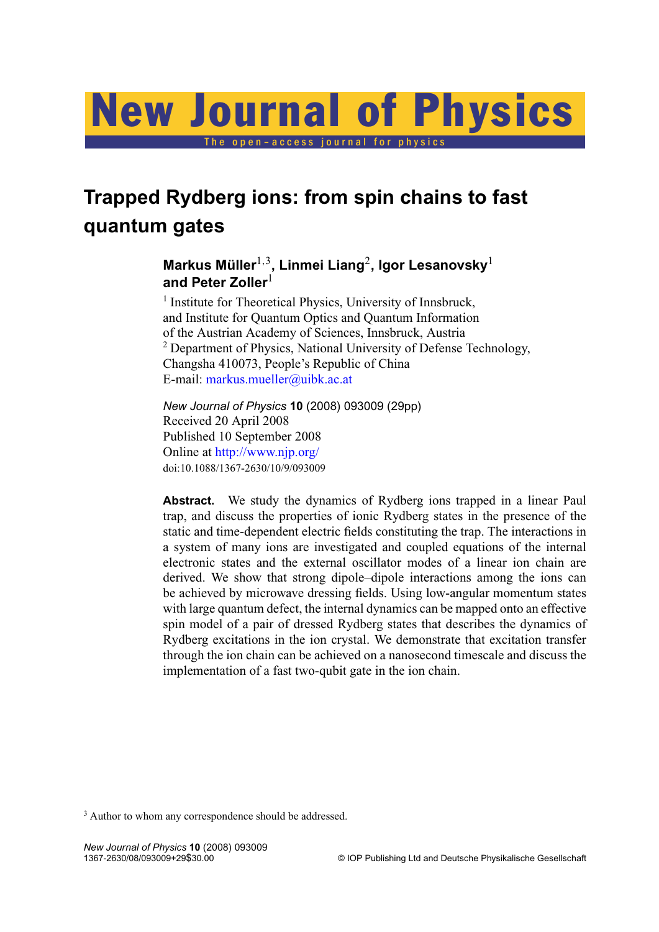# The open-access journal for physics New Journal of Physics

## **Trapped Rydberg ions: from spin chains to fast quantum gates**

### **Markus Müller**1,<sup>3</sup> **, Linmei Liang**<sup>2</sup> **, Igor Lesanovsky**<sup>1</sup> **and Peter Zoller**<sup>1</sup>

<sup>1</sup> Institute for Theoretical Physics, University of Innsbruck, and Institute for Quantum Optics and Quantum Information of the Austrian Academy of Sciences, Innsbruck, Austria <sup>2</sup> Department of Physics, National University of Defense Technology, Changsha 410073, People's Republic of China E-mail: [markus.mueller@uibk.ac.at](mailto:markus.mueller@uibk.ac.at)

*New Journal of Physics* **10** (2008) 093009 (29pp) Received 20 April 2008 Published 10 September 2008 Online at <http://www.njp.org/> doi:10.1088/1367-2630/10/9/093009

**Abstract.** We study the dynamics of Rydberg ions trapped in a linear Paul trap, and discuss the properties of ionic Rydberg states in the presence of the static and time-dependent electric fields constituting the trap. The interactions in a system of many ions are investigated and coupled equations of the internal electronic states and the external oscillator modes of a linear ion chain are derived. We show that strong dipole–dipole interactions among the ions can be achieved by microwave dressing fields. Using low-angular momentum states with large quantum defect, the internal dynamics can be mapped onto an effective spin model of a pair of dressed Rydberg states that describes the dynamics of Rydberg excitations in the ion crystal. We demonstrate that excitation transfer through the ion chain can be achieved on a nanosecond timescale and discuss the implementation of a fast two-qubit gate in the ion chain.

<sup>3</sup> Author to whom any correspondence should be addressed.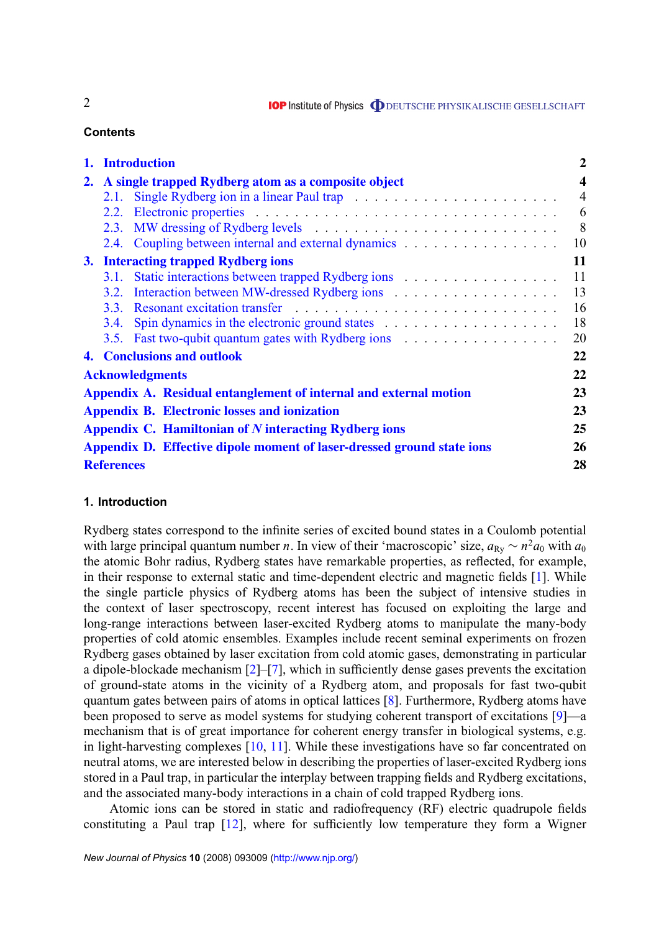#### **Contents**

|    | 1. Introduction                                                   |                                                                        | $\overline{2}$          |
|----|-------------------------------------------------------------------|------------------------------------------------------------------------|-------------------------|
| 2. | A single trapped Rydberg atom as a composite object               |                                                                        | $\overline{\mathbf{4}}$ |
|    | 2.1.                                                              |                                                                        | $\overline{4}$          |
|    |                                                                   |                                                                        | 6                       |
|    |                                                                   |                                                                        | 8                       |
|    |                                                                   | 2.4. Coupling between internal and external dynamics                   | 10                      |
|    | 11<br>3. Interacting trapped Rydberg ions                         |                                                                        |                         |
|    | 3.1.                                                              |                                                                        | 11                      |
|    |                                                                   |                                                                        | 13                      |
|    |                                                                   |                                                                        | 16                      |
|    | <b>3.4.</b>                                                       |                                                                        | 18                      |
|    |                                                                   | 3.5. Fast two-qubit quantum gates with Rydberg ions                    | 20                      |
|    |                                                                   | <b>4. Conclusions and outlook</b>                                      | 22                      |
|    | <b>Acknowledgments</b>                                            |                                                                        |                         |
|    | Appendix A. Residual entanglement of internal and external motion |                                                                        |                         |
|    | <b>Appendix B. Electronic losses and ionization</b>               |                                                                        |                         |
|    | Appendix C. Hamiltonian of N interacting Rydberg ions             |                                                                        |                         |
|    |                                                                   | Appendix D. Effective dipole moment of laser-dressed ground state ions | 26                      |
|    | <b>References</b>                                                 |                                                                        |                         |

#### **1. Introduction**

Rydberg states correspond to the infinite series of excited bound states in a Coulomb potential with large principal quantum number *n*. In view of their 'macroscopic' size,  $a_{\text{Ry}} \sim n^2 a_0$  with  $a_0$ the atomic Bohr radius, Rydberg states have remarkable properties, as reflected, for example, in their response to external static and time-dependent electric and magnetic fields [\[1\]](#page-27-0). While the single particle physics of Rydberg atoms has been the subject of intensive studies in the context of laser spectroscopy, recent interest has focused on exploiting the large and long-range interactions between laser-excited Rydberg atoms to manipulate the many-body properties of cold atomic ensembles. Examples include recent seminal experiments on frozen Rydberg gases obtained by laser excitation from cold atomic gases, demonstrating in particular a dipole-blockade mechanism [\[2\]](#page-27-0)–[\[7\]](#page-27-0), which in sufficiently dense gases prevents the excitation of ground-state atoms in the vicinity of a Rydberg atom, and proposals for fast two-qubit quantum gates between pairs of atoms in optical lattices [\[8\]](#page-27-0). Furthermore, Rydberg atoms have been proposed to serve as model systems for studying coherent transport of excitations [\[9\]](#page-27-0)—a mechanism that is of great importance for coherent energy transfer in biological systems, e.g. in light-harvesting complexes [\[10,](#page-27-0) [11\]](#page-27-0). While these investigations have so far concentrated on neutral atoms, we are interested below in describing the properties of laser-excited Rydberg ions stored in a Paul trap, in particular the interplay between trapping fields and Rydberg excitations, and the associated many-body interactions in a chain of cold trapped Rydberg ions.

Atomic ions can be stored in static and radiofrequency (RF) electric quadrupole fields constituting a Paul trap [\[12\]](#page-27-0), where for sufficiently low temperature they form a Wigner

2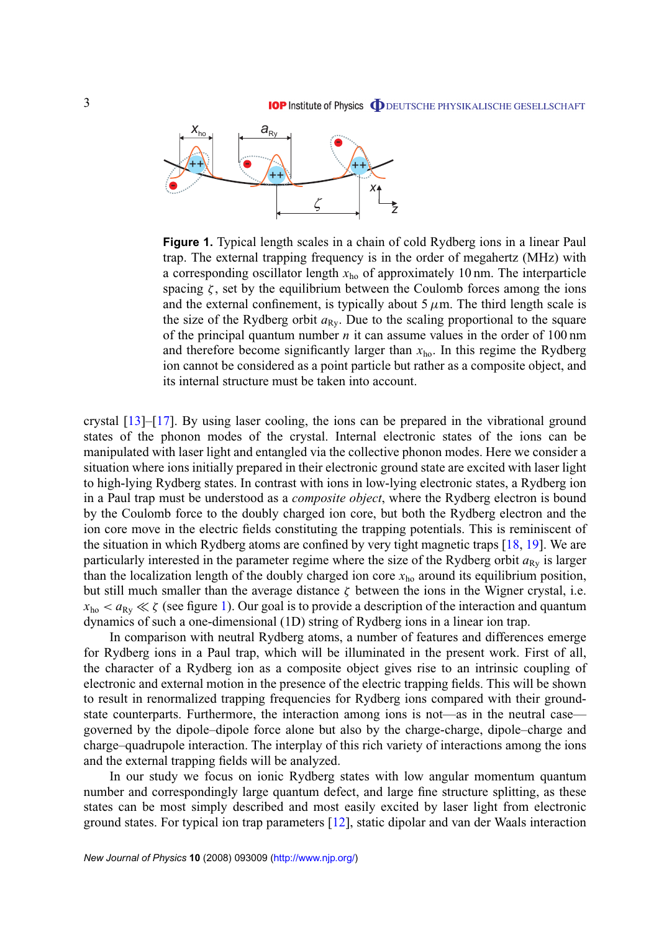

**Figure 1.** Typical length scales in a chain of cold Rydberg ions in a linear Paul trap. The external trapping frequency is in the order of megahertz (MHz) with a corresponding oscillator length  $x<sub>ho</sub>$  of approximately 10 nm. The interparticle spacing  $\zeta$ , set by the equilibrium between the Coulomb forces among the ions and the external confinement, is typically about  $5 \mu$ m. The third length scale is the size of the Rydberg orbit  $a_{\text{Rv}}$ . Due to the scaling proportional to the square of the principal quantum number *n* it can assume values in the order of 100 nm and therefore become significantly larger than  $x<sub>ho</sub>$ . In this regime the Rydberg ion cannot be considered as a point particle but rather as a composite object, and its internal structure must be taken into account.

crystal [\[13\]](#page-27-0)–[\[17\]](#page-27-0). By using laser cooling, the ions can be prepared in the vibrational ground states of the phonon modes of the crystal. Internal electronic states of the ions can be manipulated with laser light and entangled via the collective phonon modes. Here we consider a situation where ions initially prepared in their electronic ground state are excited with laser light to high-lying Rydberg states. In contrast with ions in low-lying electronic states, a Rydberg ion in a Paul trap must be understood as a *composite object*, where the Rydberg electron is bound by the Coulomb force to the doubly charged ion core, but both the Rydberg electron and the ion core move in the electric fields constituting the trapping potentials. This is reminiscent of the situation in which Rydberg atoms are confined by very tight magnetic traps [\[18,](#page-27-0) [19\]](#page-27-0). We are particularly interested in the parameter regime where the size of the Rydberg orbit  $a_{Rv}$  is larger than the localization length of the doubly charged ion core  $x<sub>ho</sub>$  around its equilibrium position, but still much smaller than the average distance  $\zeta$  between the ions in the Wigner crystal, i.e.  $x_{ho} < a_{Ry} \ll \zeta$  (see figure 1). Our goal is to provide a description of the interaction and quantum dynamics of such a one-dimensional (1D) string of Rydberg ions in a linear ion trap.

In comparison with neutral Rydberg atoms, a number of features and differences emerge for Rydberg ions in a Paul trap, which will be illuminated in the present work. First of all, the character of a Rydberg ion as a composite object gives rise to an intrinsic coupling of electronic and external motion in the presence of the electric trapping fields. This will be shown to result in renormalized trapping frequencies for Rydberg ions compared with their groundstate counterparts. Furthermore, the interaction among ions is not—as in the neutral case governed by the dipole–dipole force alone but also by the charge-charge, dipole–charge and charge–quadrupole interaction. The interplay of this rich variety of interactions among the ions and the external trapping fields will be analyzed.

In our study we focus on ionic Rydberg states with low angular momentum quantum number and correspondingly large quantum defect, and large fine structure splitting, as these states can be most simply described and most easily excited by laser light from electronic ground states. For typical ion trap parameters [\[12\]](#page-27-0), static dipolar and van der Waals interaction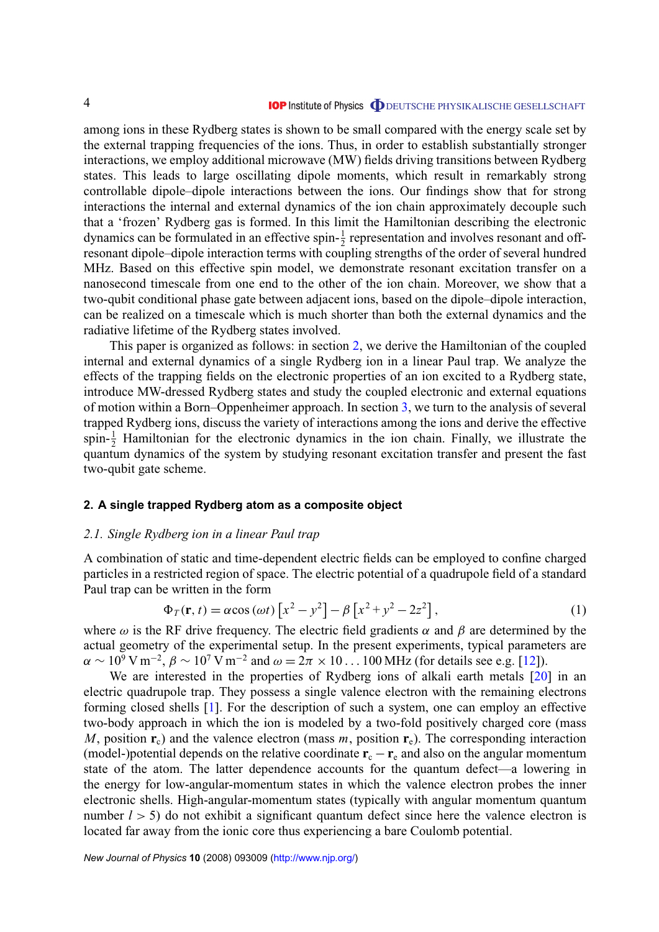<span id="page-3-0"></span>among ions in these Rydberg states is shown to be small compared with the energy scale set by the external trapping frequencies of the ions. Thus, in order to establish substantially stronger interactions, we employ additional microwave (MW) fields driving transitions between Rydberg states. This leads to large oscillating dipole moments, which result in remarkably strong controllable dipole–dipole interactions between the ions. Our findings show that for strong interactions the internal and external dynamics of the ion chain approximately decouple such that a 'frozen' Rydberg gas is formed. In this limit the Hamiltonian describing the electronic dynamics can be formulated in an effective spin- $\frac{1}{2}$  representation and involves resonant and offresonant dipole–dipole interaction terms with coupling strengths of the order of several hundred MHz. Based on this effective spin model, we demonstrate resonant excitation transfer on a nanosecond timescale from one end to the other of the ion chain. Moreover, we show that a two-qubit conditional phase gate between adjacent ions, based on the dipole–dipole interaction, can be realized on a timescale which is much shorter than both the external dynamics and the radiative lifetime of the Rydberg states involved.

This paper is organized as follows: in section 2, we derive the Hamiltonian of the coupled internal and external dynamics of a single Rydberg ion in a linear Paul trap. We analyze the effects of the trapping fields on the electronic properties of an ion excited to a Rydberg state, introduce MW-dressed Rydberg states and study the coupled electronic and external equations of motion within a Born–Oppenheimer approach. In section [3,](#page-10-0) we turn to the analysis of several trapped Rydberg ions, discuss the variety of interactions among the ions and derive the effective spin- $\frac{1}{2}$  Hamiltonian for the electronic dynamics in the ion chain. Finally, we illustrate the quantum dynamics of the system by studying resonant excitation transfer and present the fast two-qubit gate scheme.

#### **2. A single trapped Rydberg atom as a composite object**

#### *2.1. Single Rydberg ion in a linear Paul trap*

A combination of static and time-dependent electric fields can be employed to confine charged particles in a restricted region of space. The electric potential of a quadrupole field of a standard Paul trap can be written in the form

$$
\Phi_T(\mathbf{r}, t) = \alpha \cos(\omega t) \left[ x^2 - y^2 \right] - \beta \left[ x^2 + y^2 - 2z^2 \right],\tag{1}
$$

where  $\omega$  is the RF drive frequency. The electric field gradients  $\alpha$  and  $\beta$  are determined by the actual geometry of the experimental setup. In the present experiments, typical parameters are  $\alpha \sim 10^9$  V m<sup>-2</sup>,  $\beta \sim 10^7$  V m<sup>-2</sup> and  $\omega = 2\pi \times 10...$  100 MHz (for details see e.g. [\[12\]](#page-27-0)).

We are interested in the properties of Rydberg ions of alkali earth metals [\[20\]](#page-27-0) in an electric quadrupole trap. They possess a single valence electron with the remaining electrons forming closed shells [\[1\]](#page-27-0). For the description of such a system, one can employ an effective two-body approach in which the ion is modeled by a two-fold positively charged core (mass *M*, position  $\mathbf{r}_c$ ) and the valence electron (mass *m*, position  $\mathbf{r}_e$ ). The corresponding interaction (model-)potential depends on the relative coordinate  $\mathbf{r}_c - \mathbf{r}_e$  and also on the angular momentum state of the atom. The latter dependence accounts for the quantum defect—a lowering in the energy for low-angular-momentum states in which the valence electron probes the inner electronic shells. High-angular-momentum states (typically with angular momentum quantum number  $l > 5$ ) do not exhibit a significant quantum defect since here the valence electron is located far away from the ionic core thus experiencing a bare Coulomb potential.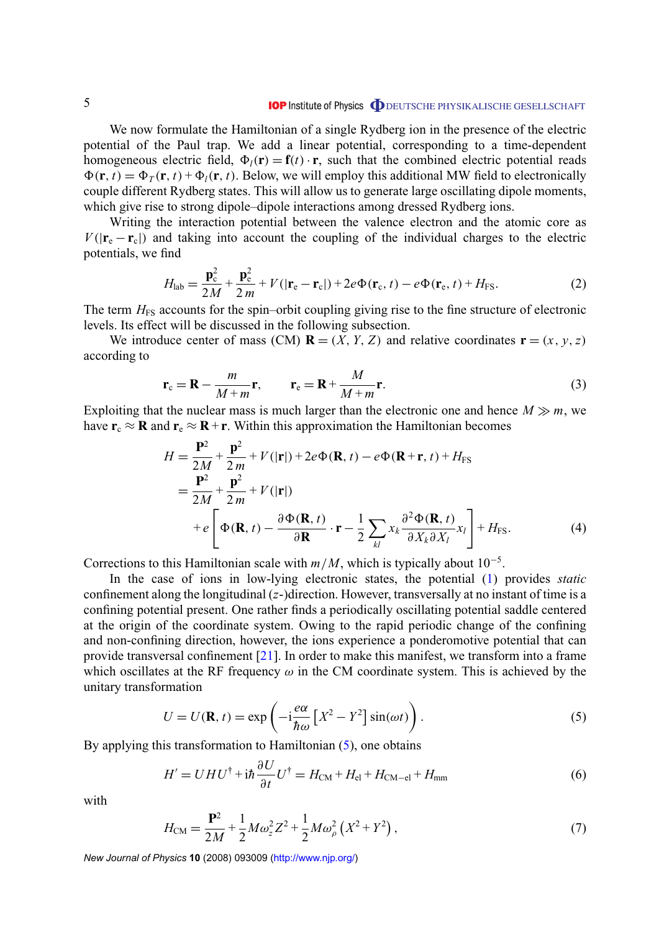<span id="page-4-0"></span>We now formulate the Hamiltonian of a single Rydberg ion in the presence of the electric potential of the Paul trap. We add a linear potential, corresponding to a time-dependent homogeneous electric field,  $\Phi_l(\mathbf{r}) = \mathbf{f}(t) \cdot \mathbf{r}$ , such that the combined electric potential reads  $\Phi(\mathbf{r}, t) = \Phi_T(\mathbf{r}, t) + \Phi_I(\mathbf{r}, t)$ . Below, we will employ this additional MW field to electronically couple different Rydberg states. This will allow us to generate large oscillating dipole moments, which give rise to strong dipole–dipole interactions among dressed Rydberg ions.

Writing the interaction potential between the valence electron and the atomic core as  $V(|\mathbf{r}_{e} - \mathbf{r}_{c}|)$  and taking into account the coupling of the individual charges to the electric potentials, we find

$$
H_{\text{lab}} = \frac{\mathbf{p}_{\text{c}}^2}{2M} + \frac{\mathbf{p}_{\text{e}}^2}{2m} + V(|\mathbf{r}_{\text{e}} - \mathbf{r}_{\text{c}}|) + 2e\Phi(\mathbf{r}_{\text{c}}, t) - e\Phi(\mathbf{r}_{\text{e}}, t) + H_{\text{FS}}.
$$
 (2)

The term  $H<sub>FS</sub>$  accounts for the spin–orbit coupling giving rise to the fine structure of electronic levels. Its effect will be discussed in the following subsection.

We introduce center of mass (CM)  $\mathbf{R} = (X, Y, Z)$  and relative coordinates  $\mathbf{r} = (x, y, z)$ according to

$$
\mathbf{r}_{\rm c} = \mathbf{R} - \frac{m}{M+m} \mathbf{r}, \qquad \mathbf{r}_{\rm e} = \mathbf{R} + \frac{M}{M+m} \mathbf{r}.
$$
 (3)

Exploiting that the nuclear mass is much larger than the electronic one and hence  $M \gg m$ , we have  $\mathbf{r}_c \approx \mathbf{R}$  and  $\mathbf{r}_e \approx \mathbf{R} + \mathbf{r}$ . Within this approximation the Hamiltonian becomes

$$
H = \frac{\mathbf{P}^2}{2M} + \frac{\mathbf{p}^2}{2m} + V(|\mathbf{r}|) + 2e\Phi(\mathbf{R}, t) - e\Phi(\mathbf{R} + \mathbf{r}, t) + H_{\text{FS}}
$$
  
\n
$$
= \frac{\mathbf{P}^2}{2M} + \frac{\mathbf{p}^2}{2m} + V(|\mathbf{r}|)
$$
  
\n
$$
+ e\left[\Phi(\mathbf{R}, t) - \frac{\partial \Phi(\mathbf{R}, t)}{\partial \mathbf{R}} \cdot \mathbf{r} - \frac{1}{2} \sum_{kl} x_k \frac{\partial^2 \Phi(\mathbf{R}, t)}{\partial X_k \partial X_l} x_l \right] + H_{\text{FS}}.
$$
 (4)

Corrections to this Hamiltonian scale with  $m/M$ , which is typically about  $10^{-5}$ .

In the case of ions in low-lying electronic states, the potential [\(1\)](#page-3-0) provides *static* confinement along the longitudinal (*z*-)direction. However, transversally at no instant of time is a confining potential present. One rather finds a periodically oscillating potential saddle centered at the origin of the coordinate system. Owing to the rapid periodic change of the confining and non-confining direction, however, the ions experience a ponderomotive potential that can provide transversal confinement [\[21\]](#page-27-0). In order to make this manifest, we transform into a frame which oscillates at the RF frequency  $\omega$  in the CM coordinate system. This is achieved by the unitary transformation

$$
U = U(\mathbf{R}, t) = \exp\left(-i\frac{e\alpha}{\hbar\omega} \left[X^2 - Y^2\right] \sin(\omega t)\right).
$$
 (5)

By applying this transformation to Hamiltonian (5), one obtains

$$
H' = UHU^{\dagger} + i\hbar \frac{\partial U}{\partial t}U^{\dagger} = H_{\text{CM}} + H_{\text{el}} + H_{\text{CM}-\text{el}} + H_{\text{mm}}
$$
(6)

with

$$
H_{\rm CM} = \frac{\mathbf{P}^2}{2M} + \frac{1}{2} M \omega_z^2 Z^2 + \frac{1}{2} M \omega_\rho^2 (X^2 + Y^2) , \qquad (7)
$$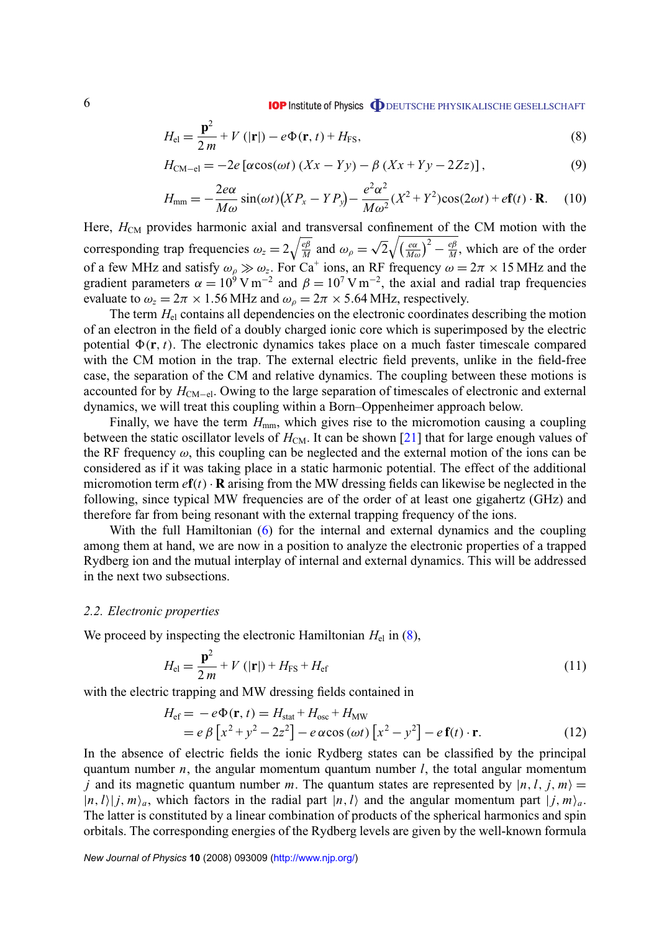<span id="page-5-0"></span>
$$
H_{\rm el} = \frac{\mathbf{p}^2}{2m} + V(|\mathbf{r}|) - e\Phi(\mathbf{r}, t) + H_{\rm FS},\tag{8}
$$

$$
H_{\text{CM}-\text{el}} = -2e\left[\alpha\cos(\omega t)\left(Xx - Yy\right) - \beta\left(Xx + Yy - 2Zz\right)\right],\tag{9}
$$

$$
H_{\text{mm}} = -\frac{2e\alpha}{M\omega}\sin(\omega t)\left(XP_x - YP_y\right) - \frac{e^2\alpha^2}{M\omega^2}(X^2 + Y^2)\cos(2\omega t) + e\mathbf{f}(t)\cdot\mathbf{R}.\tag{10}
$$

Here, *H*<sub>CM</sub> provides harmonic axial and transversal confinement of the CM motion with the corresponding trap frequencies  $\omega_z = 2 \sqrt{\frac{e\beta}{M}}$  $\frac{e\beta}{M}$  and  $\omega_{\rho} =$ √  $2\sqrt{\frac{e\alpha}{Mc}}$  $\frac{e\alpha}{M\omega}\big)^2 - \frac{e\beta}{M}$  $\frac{ep}{M}$ , which are of the order of a few MHz and satisfy  $\omega_\rho \gg \omega_z$ . For Ca<sup>+</sup> ions, an RF frequency  $\omega = 2\pi \times 15$  MHz and the gradient parameters  $\alpha = 10^6$  V m<sup>-2</sup> and  $\beta = 10^7$  V m<sup>-2</sup>, the axial and radial trap frequencies evaluate to  $\omega_z = 2\pi \times 1.56 \text{ MHz}$  and  $\omega_\rho = 2\pi \times 5.64 \text{ MHz}$ , respectively.

The term  $H_{el}$  contains all dependencies on the electronic coordinates describing the motion of an electron in the field of a doubly charged ionic core which is superimposed by the electric potential  $\Phi(\mathbf{r}, t)$ . The electronic dynamics takes place on a much faster timescale compared with the CM motion in the trap. The external electric field prevents, unlike in the field-free case, the separation of the CM and relative dynamics. The coupling between these motions is accounted for by *H*<sub>CM−el</sub>. Owing to the large separation of timescales of electronic and external dynamics, we will treat this coupling within a Born–Oppenheimer approach below.

Finally, we have the term  $H_{mm}$ , which gives rise to the micromotion causing a coupling between the static oscillator levels of  $H_{CM}$ . It can be shown [\[21\]](#page-27-0) that for large enough values of the RF frequency  $\omega$ , this coupling can be neglected and the external motion of the ions can be considered as if it was taking place in a static harmonic potential. The effect of the additional micromotion term  $e\mathbf{f}(t) \cdot \mathbf{R}$  arising from the MW dressing fields can likewise be neglected in the following, since typical MW frequencies are of the order of at least one gigahertz (GHz) and therefore far from being resonant with the external trapping frequency of the ions.

With the full Hamiltonian [\(6\)](#page-4-0) for the internal and external dynamics and the coupling among them at hand, we are now in a position to analyze the electronic properties of a trapped Rydberg ion and the mutual interplay of internal and external dynamics. This will be addressed in the next two subsections.

#### *2.2. Electronic properties*

We proceed by inspecting the electronic Hamiltonian  $H_{el}$  in (8),

$$
H_{\rm el} = \frac{\mathbf{p}^2}{2m} + V\left(|\mathbf{r}|\right) + H_{\rm FS} + H_{\rm ef}
$$
\n(11)

with the electric trapping and MW dressing fields contained in

$$
H_{\rm ef} = -e\Phi(\mathbf{r}, t) = H_{\rm stat} + H_{\rm osc} + H_{\rm MW}
$$
  
=  $e\beta \left[x^2 + y^2 - 2z^2\right] - e\alpha \cos(\omega t) \left[x^2 - y^2\right] - e\mathbf{f}(t) \cdot \mathbf{r}.$  (12)

In the absence of electric fields the ionic Rydberg states can be classified by the principal quantum number *n*, the angular momentum quantum number *l*, the total angular momentum *j* and its magnetic quantum number *m*. The quantum states are represented by  $|n, l, j, m\rangle =$  $|n, l\rangle |j, m\rangle_a$ , which factors in the radial part  $|n, l\rangle$  and the angular momentum part  $|j, m\rangle_a$ . The latter is constituted by a linear combination of products of the spherical harmonics and spin orbitals. The corresponding energies of the Rydberg levels are given by the well-known formula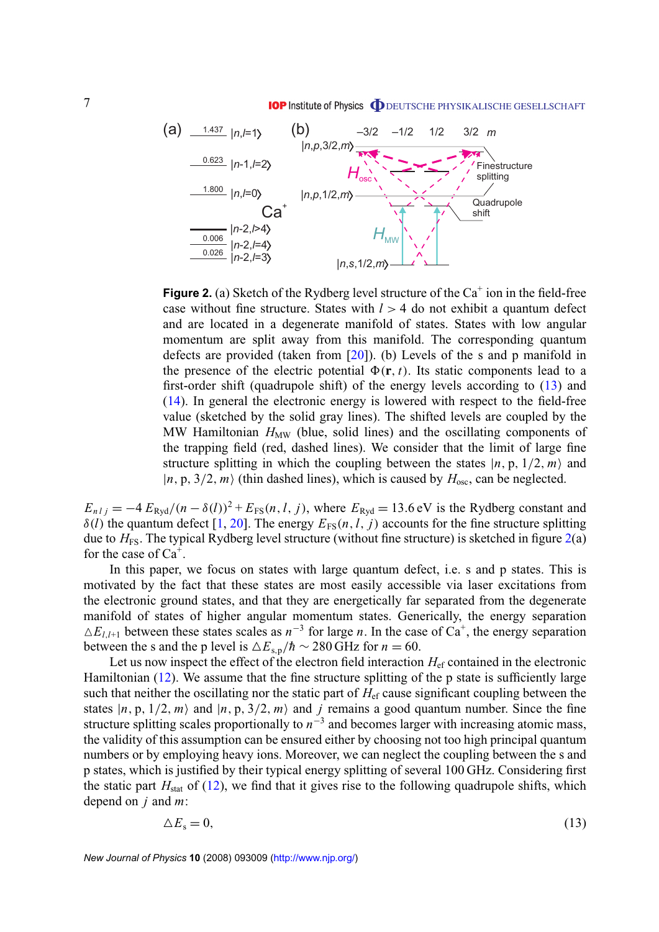<span id="page-6-0"></span>

**Figure 2.** (a) Sketch of the Rydberg level structure of the  $Ca^+$  ion in the field-free case without fine structure. States with *l* > 4 do not exhibit a quantum defect and are located in a degenerate manifold of states. States with low angular momentum are split away from this manifold. The corresponding quantum defects are provided (taken from [\[20\]](#page-27-0)). (b) Levels of the s and p manifold in the presence of the electric potential  $\Phi(\mathbf{r}, t)$ . Its static components lead to a first-order shift (quadrupole shift) of the energy levels according to (13) and [\(14\)](#page-7-0). In general the electronic energy is lowered with respect to the field-free value (sketched by the solid gray lines). The shifted levels are coupled by the MW Hamiltonian  $H_{MW}$  (blue, solid lines) and the oscillating components of the trapping field (red, dashed lines). We consider that the limit of large fine structure splitting in which the coupling between the states  $|n, p, 1/2, m\rangle$  and  $|n, p, 3/2, m\rangle$  (thin dashed lines), which is caused by  $H_{\text{osc}}$ , can be neglected.

 $E_{n l j} = -4 E_{\text{Ryd}}/(n - \delta(l))^2 + E_{\text{FS}}(n, l, j)$ , where  $E_{\text{Ryd}} = 13.6$  eV is the Rydberg constant and  $\delta(l)$  the quantum defect [\[1,](#page-27-0) [20\]](#page-27-0). The energy  $E_{FS}(n, l, j)$  accounts for the fine structure splitting due to *H*<sub>FS</sub>. The typical Rydberg level structure (without fine structure) is sketched in figure 2(a) for the case of  $Ca^+$ .

In this paper, we focus on states with large quantum defect, i.e. s and p states. This is motivated by the fact that these states are most easily accessible via laser excitations from the electronic ground states, and that they are energetically far separated from the degenerate manifold of states of higher angular momentum states. Generically, the energy separation  $\triangle E_{l,l+1}$  between these states scales as  $n^{-3}$  for large *n*. In the case of Ca<sup>+</sup>, the energy separation between the s and the p level is  $\Delta E_{s,p}/\hbar \sim 280$  GHz for *n* = 60.

Let us now inspect the effect of the electron field interaction  $H_{\rm ef}$  contained in the electronic Hamiltonian [\(12\)](#page-5-0). We assume that the fine structure splitting of the p state is sufficiently large such that neither the oscillating nor the static part of  $H_{\text{ef}}$  cause significant coupling between the states  $|n, p, 1/2, m\rangle$  and  $|n, p, 3/2, m\rangle$  and *j* remains a good quantum number. Since the fine structure splitting scales proportionally to  $n^{-3}$  and becomes larger with increasing atomic mass, the validity of this assumption can be ensured either by choosing not too high principal quantum numbers or by employing heavy ions. Moreover, we can neglect the coupling between the s and p states, which is justified by their typical energy splitting of several 100 GHz. Considering first the static part  $H_{stat}$  of [\(12\)](#page-5-0), we find that it gives rise to the following quadrupole shifts, which depend on *j* and *m*:

$$
\Delta E_s = 0,\tag{13}
$$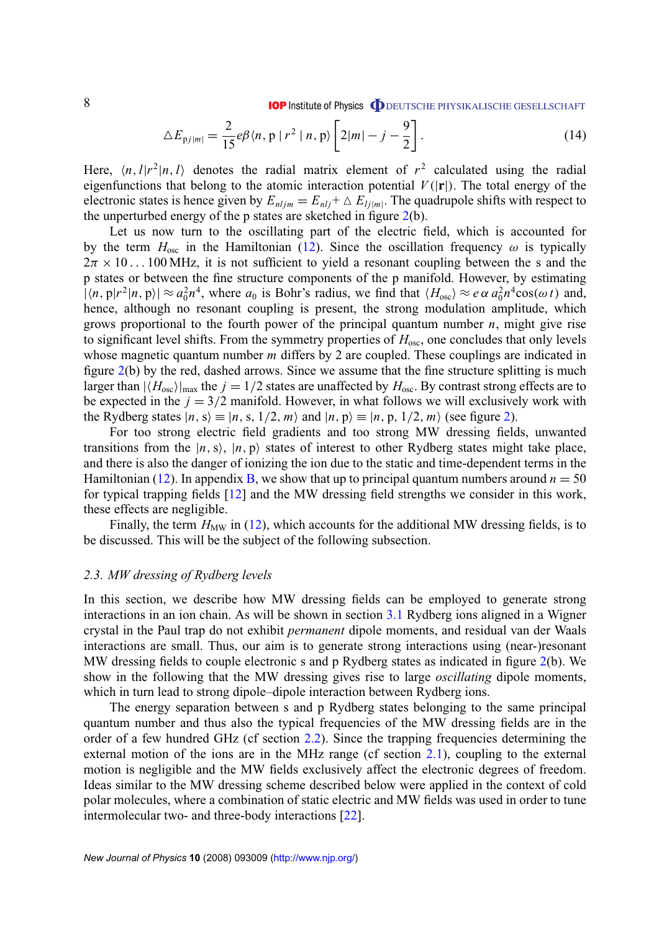$$
\Delta E_{\text{pj}|m|} = \frac{2}{15} e \beta \langle n, \, \text{p} \, | \, r^2 \, | \, n, \, \text{p} \rangle \left[ 2|m| - j - \frac{9}{2} \right]. \tag{14}
$$

<span id="page-7-0"></span>Here,  $\langle n, l | r^2 | n, l \rangle$  denotes the radial matrix element of  $r^2$  calculated using the radial eigenfunctions that belong to the atomic interaction potential  $V(|{\bf r}|)$ . The total energy of the electronic states is hence given by  $E_{nljm} = E_{nlj} + \Delta E_{lj|m|}$ . The quadrupole shifts with respect to the unperturbed energy of the p states are sketched in figure [2\(](#page-6-0)b).

Let us now turn to the oscillating part of the electric field, which is accounted for by the term  $H_{\text{osc}}$  in the Hamiltonian [\(12\)](#page-5-0). Since the oscillation frequency  $\omega$  is typically  $2\pi \times 10...100$  MHz, it is not sufficient to yield a resonant coupling between the s and the p states or between the fine structure components of the p manifold. However, by estimating  $\int |n, p|r^2 |n, p\rangle \approx a_0^2 n^4$ , where  $a_0$  is Bohr's radius, we find that  $\langle H_{\text{osc}} \rangle \approx e \alpha a_0^2 n^4 \cos(\omega t)$  and, hence, although no resonant coupling is present, the strong modulation amplitude, which grows proportional to the fourth power of the principal quantum number *n*, might give rise to significant level shifts. From the symmetry properties of  $H_{\text{osc}}$ , one concludes that only levels whose magnetic quantum number *m* differs by 2 are coupled. These couplings are indicated in figure [2\(](#page-6-0)b) by the red, dashed arrows. Since we assume that the fine structure splitting is much larger than  $|\langle H_{\text{osc}}\rangle|_{\text{max}}$  the  $j = 1/2$  states are unaffected by  $H_{\text{osc}}$ . By contrast strong effects are to be expected in the  $j = 3/2$  manifold. However, in what follows we will exclusively work with the Rydberg states  $|n, s\rangle \equiv |n, s, 1/2, m\rangle$  and  $|n, p\rangle \equiv |n, p, 1/2, m\rangle$  (see figure [2\)](#page-6-0).

For too strong electric field gradients and too strong MW dressing fields, unwanted transitions from the  $|n, s\rangle$ ,  $|n, p\rangle$  states of interest to other Rydberg states might take place, and there is also the danger of ionizing the ion due to the static and time-dependent terms in the Hamiltonian [\(12\)](#page-5-0). In appendix [B,](#page-22-0) we show that up to principal quantum numbers around  $n = 50$ for typical trapping fields [\[12\]](#page-27-0) and the MW dressing field strengths we consider in this work, these effects are negligible.

Finally, the term  $H<sub>MW</sub>$  in [\(12\)](#page-5-0), which accounts for the additional MW dressing fields, is to be discussed. This will be the subject of the following subsection.

#### *2.3. MW dressing of Rydberg levels*

In this section, we describe how MW dressing fields can be employed to generate strong interactions in an ion chain. As will be shown in section [3.1](#page-10-0) Rydberg ions aligned in a Wigner crystal in the Paul trap do not exhibit *permanent* dipole moments, and residual van der Waals interactions are small. Thus, our aim is to generate strong interactions using (near-)resonant MW dressing fields to couple electronic s and p Rydberg states as indicated in figure [2\(](#page-6-0)b). We show in the following that the MW dressing gives rise to large *oscillating* dipole moments, which in turn lead to strong dipole–dipole interaction between Rydberg ions.

The energy separation between s and p Rydberg states belonging to the same principal quantum number and thus also the typical frequencies of the MW dressing fields are in the order of a few hundred GHz (cf section [2.2\)](#page-5-0). Since the trapping frequencies determining the external motion of the ions are in the MHz range (cf section [2.1\)](#page-3-0), coupling to the external motion is negligible and the MW fields exclusively affect the electronic degrees of freedom. Ideas similar to the MW dressing scheme described below were applied in the context of cold polar molecules, where a combination of static electric and MW fields was used in order to tune intermolecular two- and three-body interactions [\[22\]](#page-27-0).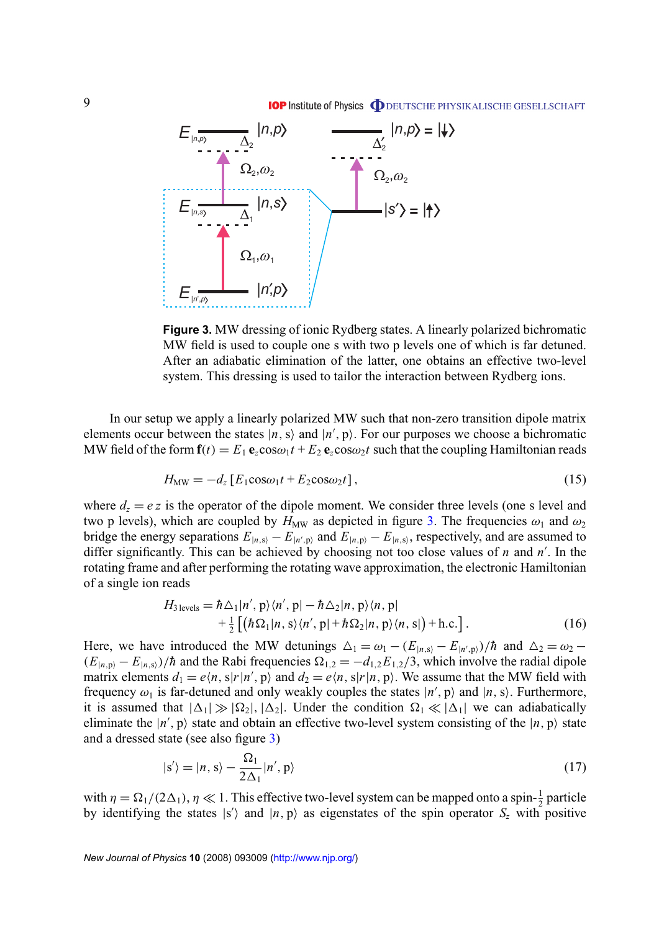<span id="page-8-0"></span>

**Figure 3.** MW dressing of ionic Rydberg states. A linearly polarized bichromatic MW field is used to couple one s with two p levels one of which is far detuned. After an adiabatic elimination of the latter, one obtains an effective two-level system. This dressing is used to tailor the interaction between Rydberg ions.

In our setup we apply a linearly polarized MW such that non-zero transition dipole matrix elements occur between the states  $|n, s\rangle$  and  $|n', p\rangle$ . For our purposes we choose a bichromatic MW field of the form  $f(t) = E_1 e_z \cos \omega_1 t + E_2 e_z \cos \omega_2 t$  such that the coupling Hamiltonian reads

$$
H_{\text{MW}} = -d_z \left[ E_1 \cos \omega_1 t + E_2 \cos \omega_2 t \right],\tag{15}
$$

where  $d_z = e z$  is the operator of the dipole moment. We consider three levels (one s level and two p levels), which are coupled by  $H_{MW}$  as depicted in figure 3. The frequencies  $\omega_1$  and  $\omega_2$ bridge the energy separations  $E_{|n,s} - E_{|n',p}$  and  $E_{|n,p} - E_{|n,s}$ , respectively, and are assumed to differ significantly. This can be achieved by choosing not too close values of *n* and  $n'$ . In the rotating frame and after performing the rotating wave approximation, the electronic Hamiltonian of a single ion reads

$$
H_{3 \text{ levels}} = \hbar \Delta_1 |n', \, \mathrm{p} \rangle \langle n', \, \mathrm{p} | - \hbar \Delta_2 |n, \, \mathrm{p} \rangle \langle n, \, \mathrm{p} | + \frac{1}{2} \left[ \left( \hbar \Omega_1 |n, \, \mathrm{s} \rangle \langle n', \, \mathrm{p} | + \hbar \Omega_2 |n, \, \mathrm{p} \rangle \langle n, \, \mathrm{s} | \right) + \mathrm{h.c.} \right]. \tag{16}
$$

Here, we have introduced the MW detunings  $\Delta_1 = \omega_1 - (E_{|n,s\rangle} - E_{|n',p\rangle})/\hbar$  and  $\Delta_2 = \omega_2 - \omega_1$  $(E_{|n,p} - E_{|n,s})/\hbar$  and the Rabi frequencies  $\Omega_{1,2} = -d_{1,2}E_{1,2}/3$ , which involve the radial dipole matrix elements  $d_1 = e\langle n, s|r|n', p\rangle$  and  $d_2 = e\langle n, s|r|n, p\rangle$ . We assume that the MW field with frequency  $\omega_1$  is far-detuned and only weakly couples the states  $|n', p\rangle$  and  $|n, s\rangle$ . Furthermore, it is assumed that  $|\Delta_1| \gg |\Omega_2|$ ,  $|\Delta_2|$ . Under the condition  $\Omega_1 \ll |\Delta_1|$  we can adiabatically eliminate the  $|n', p\rangle$  state and obtain an effective two-level system consisting of the  $|n, p\rangle$  state and a dressed state (see also figure 3)

$$
|s'\rangle = |n, s\rangle - \frac{\Omega_1}{2\Delta_1}|n', p\rangle \tag{17}
$$

with  $\eta = \Omega_1/(2\Delta_1)$ ,  $\eta \ll 1$ . This effective two-level system can be mapped onto a spin- $\frac{1}{2}$  particle by identifying the states  $|s'\rangle$  and  $|n, p\rangle$  as eigenstates of the spin operator  $S_z$  with positive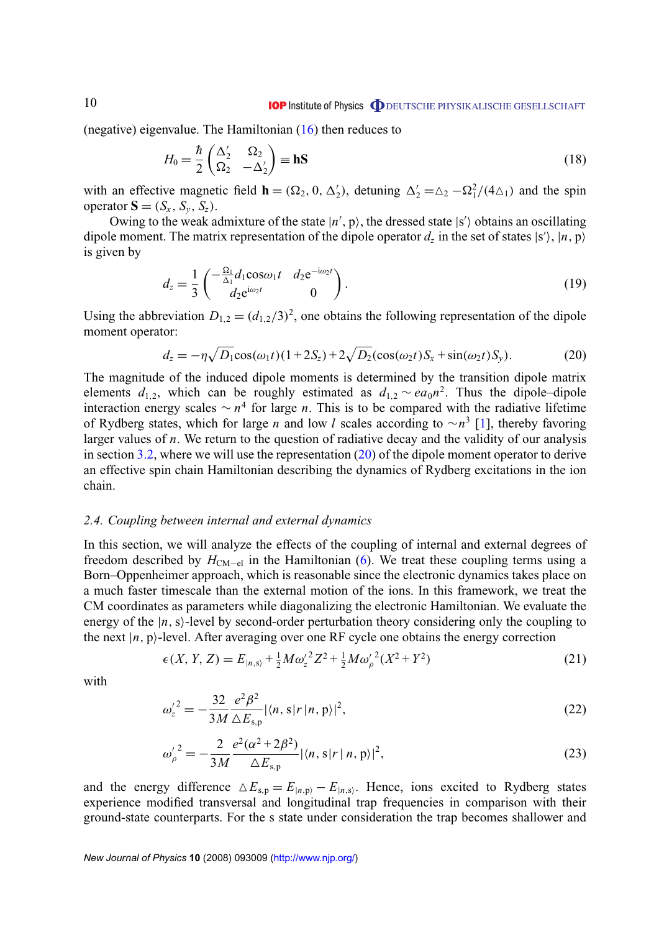<span id="page-9-0"></span>(negative) eigenvalue. The Hamiltonian  $(16)$  then reduces to

$$
H_0 = \frac{\hbar}{2} \begin{pmatrix} \Delta_2' & \Omega_2 \\ \Omega_2 & -\Delta_2' \end{pmatrix} \equiv \mathbf{h} \mathbf{S}
$$
 (18)

with an effective magnetic field **h** =  $(\Omega_2, 0, \Delta'_2)$ , detuning  $\Delta'_2 = \Delta_2 - \Omega_1^2/(4\Delta_1)$  and the spin operator  $\mathbf{S} = (S_x, S_y, S_z)$ .

Owing to the weak admixture of the state  $|n', p\rangle$ , the dressed state  $|s'\rangle$  obtains an oscillating dipole moment. The matrix representation of the dipole operator  $d_z$  in the set of states  $|s'\rangle$ ,  $|n, p\rangle$ is given by

$$
d_z = \frac{1}{3} \begin{pmatrix} -\frac{\Omega_1}{\Delta_1} d_1 \cos \omega_1 t & d_2 e^{-i\omega_2 t} \\ d_2 e^{i\omega_2 t} & 0 \end{pmatrix} . \tag{19}
$$

Using the abbreviation  $D_{1,2} = (d_{1,2}/3)^2$ , one obtains the following representation of the dipole moment operator:

$$
d_z = -\eta \sqrt{D_1} \cos(\omega_1 t) (1 + 2S_z) + 2\sqrt{D_2} (\cos(\omega_2 t) S_x + \sin(\omega_2 t) S_y).
$$
 (20)

The magnitude of the induced dipole moments is determined by the transition dipole matrix elements  $d_{1,2}$ , which can be roughly estimated as  $d_{1,2} \sim ea_0 n^2$ . Thus the dipole–dipole interaction energy scales  $\sim n^4$  for large *n*. This is to be compared with the radiative lifetime of Rydberg states, which for large *n* and low *l* scales according to ∼*n* 3 [\[1\]](#page-27-0), thereby favoring larger values of *n*. We return to the question of radiative decay and the validity of our analysis in section [3.2,](#page-12-0) where we will use the representation  $(20)$  of the dipole moment operator to derive an effective spin chain Hamiltonian describing the dynamics of Rydberg excitations in the ion chain.

#### *2.4. Coupling between internal and external dynamics*

In this section, we will analyze the effects of the coupling of internal and external degrees of freedom described by  $H_{CM-el}$  in the Hamiltonian [\(6\)](#page-4-0). We treat these coupling terms using a Born–Oppenheimer approach, which is reasonable since the electronic dynamics takes place on a much faster timescale than the external motion of the ions. In this framework, we treat the CM coordinates as parameters while diagonalizing the electronic Hamiltonian. We evaluate the energy of the  $|n, s\rangle$ -level by second-order perturbation theory considering only the coupling to the next  $|n, p\rangle$ -level. After averaging over one RF cycle one obtains the energy correction

$$
\epsilon(X, Y, Z) = E_{|n,s\rangle} + \frac{1}{2} M \omega_z^2 Z^2 + \frac{1}{2} M \omega_\rho^2 (X^2 + Y^2)
$$
 (21)

with

$$
{\omega'_{z}}^{2} = -\frac{32}{3M} \frac{e^{2} \beta^{2}}{\Delta E_{s,p}} |\langle n, s | r | n, p \rangle|^{2}, \tag{22}
$$

$$
{\omega_{\rho}'}^2 = -\frac{2}{3M} \frac{e^2(\alpha^2 + 2\beta^2)}{\Delta E_{\rm s,p}} |\langle n, \mathbf{s}|r|n, \mathbf{p} \rangle|^2, \tag{23}
$$

and the energy difference  $\Delta E_{s,p} = E_{|n,p\rangle} - E_{|n,s\rangle}$ . Hence, ions excited to Rydberg states experience modified transversal and longitudinal trap frequencies in comparison with their ground-state counterparts. For the s state under consideration the trap becomes shallower and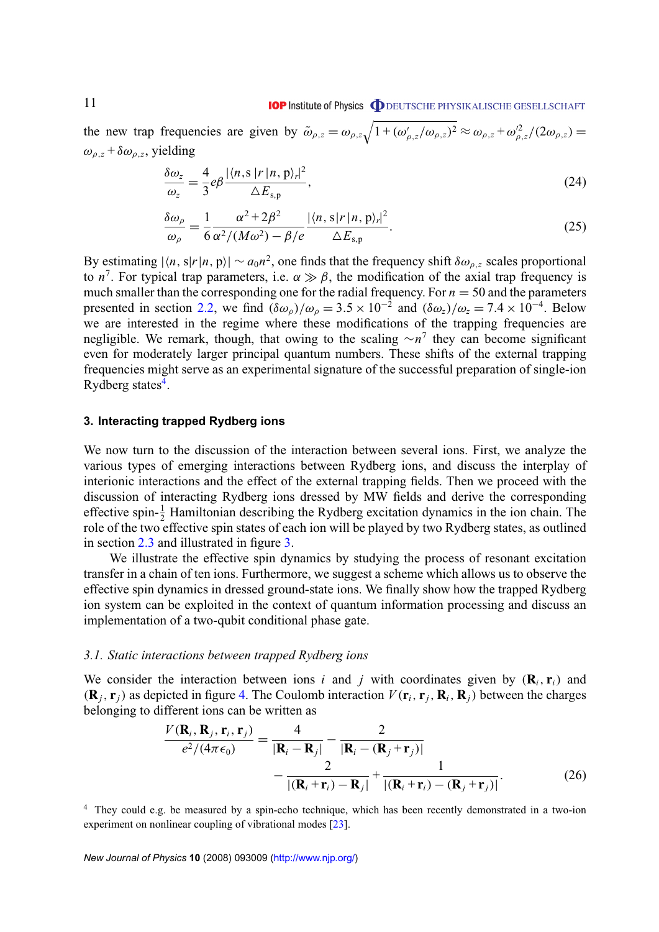<span id="page-10-0"></span>the new trap frequencies are given by  $\tilde{\omega}_{\rho,z} = \omega_{\rho,z} \sqrt{1 + (\omega'_{\rho,z}/\omega_{\rho,z})^2} \approx \omega_{\rho,z} + \omega_{\rho,z}^2/(2\omega_{\rho,z}) =$  $\omega_{\rho,z} + \delta \omega_{\rho,z}$ , yielding

$$
\frac{\delta\omega_z}{\omega_z} = \frac{4}{3}e\beta \frac{|\langle n, s | r | n, p \rangle_r|^2}{\Delta E_{s,p}},\tag{24}
$$

$$
\frac{\delta\omega_{\rho}}{\omega_{\rho}} = \frac{1}{6} \frac{\alpha^2 + 2\beta^2}{\alpha^2 / (M\omega^2) - \beta/e} \frac{|\langle n, s | r | n, p \rangle_r|^2}{\Delta E_{s,p}}.
$$
\n(25)

By estimating  $|\langle n, s | r | n, p \rangle| \sim a_0 n^2$ , one finds that the frequency shift  $\delta \omega_{\rho, z}$  scales proportional to  $n^7$ . For typical trap parameters, i.e.  $\alpha \gg \beta$ , the modification of the axial trap frequency is much smaller than the corresponding one for the radial frequency. For  $n = 50$  and the parameters presented in section [2.2,](#page-5-0) we find  $(\delta \omega_{\rho})/\omega_{\rho} = 3.5 \times 10^{-2}$  and  $(\delta \omega_{z})/\omega_{z} = 7.4 \times 10^{-4}$ . Below we are interested in the regime where these modifications of the trapping frequencies are negligible. We remark, though, that owing to the scaling ∼*n* 7 they can become significant even for moderately larger principal quantum numbers. These shifts of the external trapping frequencies might serve as an experimental signature of the successful preparation of single-ion Rydberg states<sup>4</sup>.

#### **3. Interacting trapped Rydberg ions**

We now turn to the discussion of the interaction between several ions. First, we analyze the various types of emerging interactions between Rydberg ions, and discuss the interplay of interionic interactions and the effect of the external trapping fields. Then we proceed with the discussion of interacting Rydberg ions dressed by MW fields and derive the corresponding effective spin- $\frac{1}{2}$  Hamiltonian describing the Rydberg excitation dynamics in the ion chain. The role of the two effective spin states of each ion will be played by two Rydberg states, as outlined in section [2.3](#page-7-0) and illustrated in figure [3.](#page-8-0)

We illustrate the effective spin dynamics by studying the process of resonant excitation transfer in a chain of ten ions. Furthermore, we suggest a scheme which allows us to observe the effective spin dynamics in dressed ground-state ions. We finally show how the trapped Rydberg ion system can be exploited in the context of quantum information processing and discuss an implementation of a two-qubit conditional phase gate.

#### *3.1. Static interactions between trapped Rydberg ions*

We consider the interaction between ions *i* and *j* with coordinates given by  $(\mathbf{R}_i, \mathbf{r}_i)$  and  $(\mathbf{R}_i, \mathbf{r}_i)$  as depicted in figure [4.](#page-11-0) The Coulomb interaction  $V(\mathbf{r}_i, \mathbf{r}_i, \mathbf{R}_i, \mathbf{R}_i)$  between the charges belonging to different ions can be written as

$$
\frac{V(\mathbf{R}_i, \mathbf{R}_j, \mathbf{r}_i, \mathbf{r}_j)}{e^2/(4\pi\epsilon_0)} = \frac{4}{|\mathbf{R}_i - \mathbf{R}_j|} - \frac{2}{|\mathbf{R}_i - (\mathbf{R}_j + \mathbf{r}_j)|} - \frac{2}{|\mathbf{R}_i + \mathbf{r}_i - \mathbf{R}_j|} + \frac{1}{|\mathbf{R}_i + \mathbf{r}_i - (\mathbf{R}_j + \mathbf{r}_j)|}.
$$
(26)

<sup>4</sup> They could e.g. be measured by a spin-echo technique, which has been recently demonstrated in a two-ion experiment on nonlinear coupling of vibrational modes [\[23\]](#page-27-0).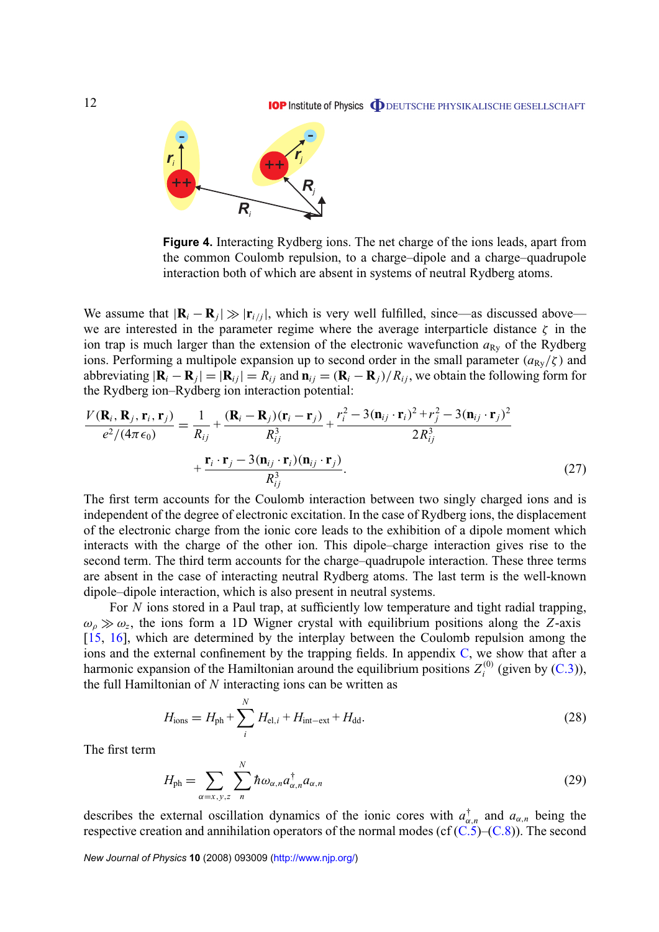<span id="page-11-0"></span>

**Figure 4.** Interacting Rydberg ions. The net charge of the ions leads, apart from the common Coulomb repulsion, to a charge–dipole and a charge–quadrupole interaction both of which are absent in systems of neutral Rydberg atoms.

We assume that  $|\mathbf{R}_i - \mathbf{R}_j| \gg |\mathbf{r}_{i,j}|$ , which is very well fulfilled, since—as discussed above we are interested in the parameter regime where the average interparticle distance  $\zeta$  in the ion trap is much larger than the extension of the electronic wavefunction  $a_{Rv}$  of the Rydberg ions. Performing a multipole expansion up to second order in the small parameter  $(a_{R<sub>V</sub>}/\zeta)$  and abbreviating  $|\mathbf{R}_i - \mathbf{R}_j| = |\mathbf{R}_{ij}| = R_{ij}$  and  $\mathbf{n}_{ij} = (\mathbf{R}_i - \mathbf{R}_j)/R_{ij}$ , we obtain the following form for the Rydberg ion–Rydberg ion interaction potential:

$$
\frac{V(\mathbf{R}_i, \mathbf{R}_j, \mathbf{r}_i, \mathbf{r}_j)}{e^2/(4\pi\epsilon_0)} = \frac{1}{R_{ij}} + \frac{(\mathbf{R}_i - \mathbf{R}_j)(\mathbf{r}_i - \mathbf{r}_j)}{R_{ij}^3} + \frac{r_i^2 - 3(\mathbf{n}_{ij} \cdot \mathbf{r}_i)^2 + r_j^2 - 3(\mathbf{n}_{ij} \cdot \mathbf{r}_j)^2}{2R_{ij}^3} + \frac{\mathbf{r}_i \cdot \mathbf{r}_j - 3(\mathbf{n}_{ij} \cdot \mathbf{r}_i)(\mathbf{n}_{ij} \cdot \mathbf{r}_j)}{R_{ij}^3}.
$$
\n(27)

The first term accounts for the Coulomb interaction between two singly charged ions and is independent of the degree of electronic excitation. In the case of Rydberg ions, the displacement of the electronic charge from the ionic core leads to the exhibition of a dipole moment which interacts with the charge of the other ion. This dipole–charge interaction gives rise to the second term. The third term accounts for the charge–quadrupole interaction. These three terms are absent in the case of interacting neutral Rydberg atoms. The last term is the well-known dipole–dipole interaction, which is also present in neutral systems.

For *N* ions stored in a Paul trap, at sufficiently low temperature and tight radial trapping,  $\omega_{\rho} \gg \omega_{z}$ , the ions form a 1D Wigner crystal with equilibrium positions along the *Z*-axis [\[15,](#page-27-0) [16\]](#page-27-0), which are determined by the interplay between the Coulomb repulsion among the ions and the external confinement by the trapping fields. In appendix  $C$ , we show that after a harmonic expansion of the Hamiltonian around the equilibrium positions  $Z_i^{(0)}$  $i^{(0)}$  (given by  $(C.3)$ ), the full Hamiltonian of *N* interacting ions can be written as

$$
H_{\rm ions} = H_{\rm ph} + \sum_{i}^{N} H_{\rm el, i} + H_{\rm int-ext} + H_{\rm dd}.
$$
 (28)

The first term

$$
H_{\rm ph} = \sum_{\alpha=x,y,z} \sum_{n}^{N} \hbar \omega_{\alpha,n} a_{\alpha,n}^{\dagger} a_{\alpha,n}
$$
 (29)

describes the external oscillation dynamics of the ionic cores with  $a_{\alpha,n}^{\dagger}$  and  $a_{\alpha,n}$  being the respective creation and annihilation operators of the normal modes (cf  $(C.5)$ – $(C.8)$ ). The second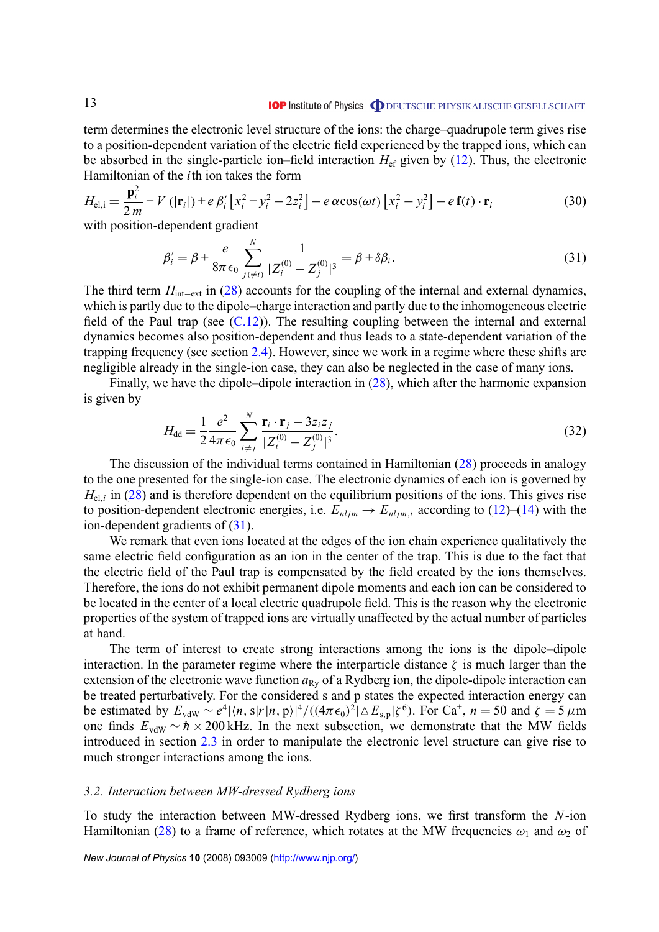<span id="page-12-0"></span>term determines the electronic level structure of the ions: the charge–quadrupole term gives rise to a position-dependent variation of the electric field experienced by the trapped ions, which can be absorbed in the single-particle ion–field interaction  $H_{\text{ef}}$  given by [\(12\)](#page-5-0). Thus, the electronic Hamiltonian of the *i*th ion takes the form

$$
H_{\text{el},i} = \frac{\mathbf{p}_i^2}{2m} + V\left(|\mathbf{r}_i|\right) + e\beta_i'\left[x_i^2 + y_i^2 - 2z_i^2\right] - e\alpha\cos(\omega t)\left[x_i^2 - y_i^2\right] - e\mathbf{f}(t)\cdot\mathbf{r}_i\tag{30}
$$

with position-dependent gradient

$$
\beta_i' = \beta + \frac{e}{8\pi\epsilon_0} \sum_{j(\neq i)}^N \frac{1}{|Z_i^{(0)} - Z_j^{(0)}|^3} = \beta + \delta\beta_i.
$$
\n(31)

The third term *H*<sub>int−ext</sub> in [\(28\)](#page-11-0) accounts for the coupling of the internal and external dynamics, which is partly due to the dipole–charge interaction and partly due to the inhomogeneous electric field of the Paul trap (see  $(C.12)$ ). The resulting coupling between the internal and external dynamics becomes also position-dependent and thus leads to a state-dependent variation of the trapping frequency (see section [2.4\)](#page-9-0). However, since we work in a regime where these shifts are negligible already in the single-ion case, they can also be neglected in the case of many ions.

Finally, we have the dipole–dipole interaction in [\(28\)](#page-11-0), which after the harmonic expansion is given by

$$
H_{\rm dd} = \frac{1}{2} \frac{e^2}{4\pi\epsilon_0} \sum_{i \neq j}^{N} \frac{\mathbf{r}_i \cdot \mathbf{r}_j - 3z_i z_j}{|Z_i^{(0)} - Z_j^{(0)}|^3}.
$$
 (32)

The discussion of the individual terms contained in Hamiltonian [\(28\)](#page-11-0) proceeds in analogy to the one presented for the single-ion case. The electronic dynamics of each ion is governed by  $H_{el,i}$  in [\(28\)](#page-11-0) and is therefore dependent on the equilibrium positions of the ions. This gives rise to position-dependent electronic energies, i.e.  $E_{nljm} \rightarrow E_{nljm,i}$  according to [\(12\)](#page-5-0)–[\(14\)](#page-7-0) with the ion-dependent gradients of (31).

We remark that even ions located at the edges of the ion chain experience qualitatively the same electric field configuration as an ion in the center of the trap. This is due to the fact that the electric field of the Paul trap is compensated by the field created by the ions themselves. Therefore, the ions do not exhibit permanent dipole moments and each ion can be considered to be located in the center of a local electric quadrupole field. This is the reason why the electronic properties of the system of trapped ions are virtually unaffected by the actual number of particles at hand.

The term of interest to create strong interactions among the ions is the dipole–dipole interaction. In the parameter regime where the interparticle distance  $\zeta$  is much larger than the extension of the electronic wave function  $a_{Rv}$  of a Rydberg ion, the dipole-dipole interaction can be treated perturbatively. For the considered s and p states the expected interaction energy can be estimated by  $E_{vdW} \sim e^4 |\langle n, s | r | n, p \rangle|^4 / ((4\pi \epsilon_0)^2 |\triangle E_{s,p}| \zeta^6)$ . For Ca<sup>+</sup>,  $n = 50$  and  $\zeta = 5 \mu m$ one finds  $E_{vdW} \sim \hbar \times 200$  kHz. In the next subsection, we demonstrate that the MW fields introduced in section [2.3](#page-7-0) in order to manipulate the electronic level structure can give rise to much stronger interactions among the ions.

#### *3.2. Interaction between MW-dressed Rydberg ions*

To study the interaction between MW-dressed Rydberg ions, we first transform the *N*-ion Hamiltonian [\(28\)](#page-11-0) to a frame of reference, which rotates at the MW frequencies  $\omega_1$  and  $\omega_2$  of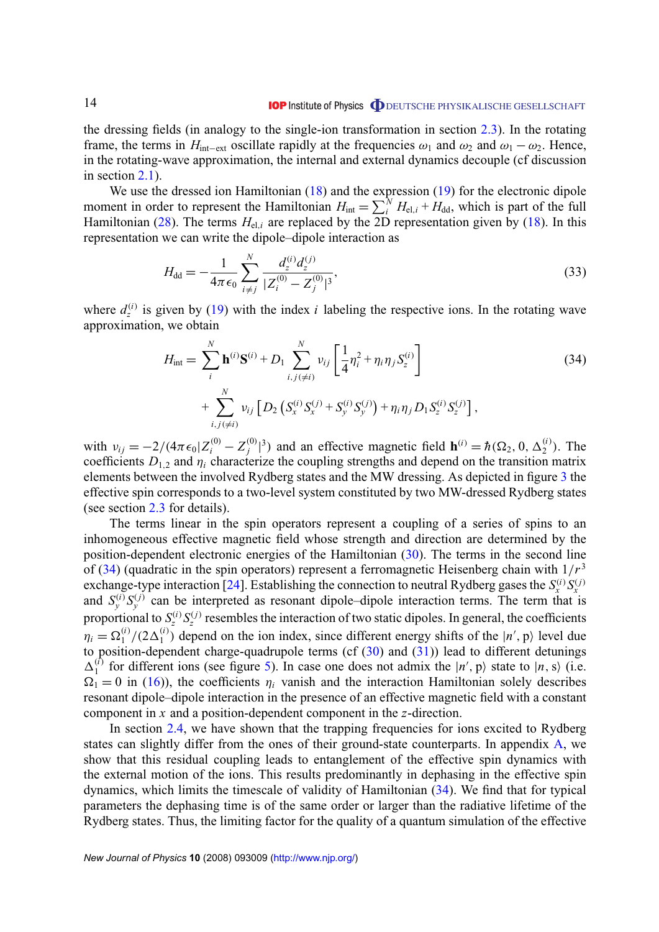<span id="page-13-0"></span>the dressing fields (in analogy to the single-ion transformation in section [2.3\)](#page-7-0). In the rotating frame, the terms in *H*<sub>int−ext</sub> oscillate rapidly at the frequencies  $\omega_1$  and  $\omega_2$  and  $\omega_1 - \omega_2$ . Hence, in the rotating-wave approximation, the internal and external dynamics decouple (cf discussion in section [2.1\)](#page-3-0).

We use the dressed ion Hamiltonian [\(18\)](#page-9-0) and the expression [\(19\)](#page-9-0) for the electronic dipole moment in order to represent the Hamiltonian  $H_{int} = \sum_{i}^{N} H_{el,i} + H_{dd}$ , which is part of the full Hamiltonian [\(28\)](#page-11-0). The terms  $H_{el,i}$  are replaced by the 2D representation given by [\(18\)](#page-9-0). In this representation we can write the dipole–dipole interaction as

$$
H_{\rm dd} = -\frac{1}{4\pi\epsilon_0} \sum_{i \neq j}^{N} \frac{d_z^{(i)} d_z^{(j)}}{|Z_i^{(0)} - Z_j^{(0)}|^3},\tag{33}
$$

where  $d_z^{(i)}$  is given by [\(19\)](#page-9-0) with the index *i* labeling the respective ions. In the rotating wave approximation, we obtain

$$
H_{int} = \sum_{i}^{N} \mathbf{h}^{(i)} \mathbf{S}^{(i)} + D_{1} \sum_{i,j (\neq i)}^{N} \nu_{ij} \left[ \frac{1}{4} \eta_{i}^{2} + \eta_{i} \eta_{j} S_{z}^{(i)} \right] + \sum_{i,j (\neq i)}^{N} \nu_{ij} \left[ D_{2} \left( S_{x}^{(i)} S_{x}^{(j)} + S_{y}^{(i)} S_{y}^{(j)} \right) + \eta_{i} \eta_{j} D_{1} S_{z}^{(i)} S_{z}^{(j)} \right],
$$
\n(34)

with  $v_{ij} = -2/(4\pi\epsilon_0 Z_i^{(0)} - Z_j^{(0)}$ <sup>(0)</sup><sub>*j*</sub><sup>3</sup>) and an effective magnetic field **h**<sup>(*i*)</sup> =  $\hbar$  ( $\Omega$ <sub>2</sub>, 0,  $\Delta$ <sup>(*i*</sup>)</sup>). The coefficients  $D_{1,2}$  and  $\eta_i$  characterize the coupling strengths and depend on the transition matrix elements between the involved Rydberg states and the MW dressing. As depicted in figure [3](#page-8-0) the effective spin corresponds to a two-level system constituted by two MW-dressed Rydberg states (see section [2.3](#page-7-0) for details).

The terms linear in the spin operators represent a coupling of a series of spins to an inhomogeneous effective magnetic field whose strength and direction are determined by the position-dependent electronic energies of the Hamiltonian [\(30\)](#page-12-0). The terms in the second line of  $(34)$  (quadratic in the spin operators) represent a ferromagnetic Heisenberg chain with  $1/r<sup>3</sup>$ exchange-type interaction [\[24\]](#page-27-0). Establishing the connection to neutral Rydberg gases the  $S_x^{(i)}S_x^{(j)}$ and  $S_y^{(i)}S_y^{(j)}$  can be interpreted as resonant dipole–dipole interaction terms. The term that is proportional to  $S_z^{(i)} S_z^{(j)}$  resembles the interaction of two static dipoles. In general, the coefficients  $\eta_i = \Omega_1^{(i)}$  $\binom{i}{1}$ /(2 $\Delta_1^{(i)}$  $1 \choose 1$  depend on the ion index, since different energy shifts of the  $|n', p\rangle$  level due to position-dependent charge-quadrupole terms (cf  $(30)$  and  $(31)$ ) lead to different detunings  $\Delta_1^{(\tilde{i})}$ <sup>(i)</sup> for different ions (see figure [5\)](#page-14-0). In case one does not admix the  $|n', p\rangle$  state to  $|n, s\rangle$  (i.e.  $\Omega_1 = 0$  in [\(16\)](#page-8-0)), the coefficients  $\eta_i$  vanish and the interaction Hamiltonian solely describes resonant dipole–dipole interaction in the presence of an effective magnetic field with a constant component in *x* and a position-dependent component in the *z*-direction.

In section [2.4,](#page-9-0) we have shown that the trapping frequencies for ions excited to Rydberg states can slightly differ from the ones of their ground-state counterparts. In appendix [A,](#page-21-0) we show that this residual coupling leads to entanglement of the effective spin dynamics with the external motion of the ions. This results predominantly in dephasing in the effective spin dynamics, which limits the timescale of validity of Hamiltonian (34). We find that for typical parameters the dephasing time is of the same order or larger than the radiative lifetime of the Rydberg states. Thus, the limiting factor for the quality of a quantum simulation of the effective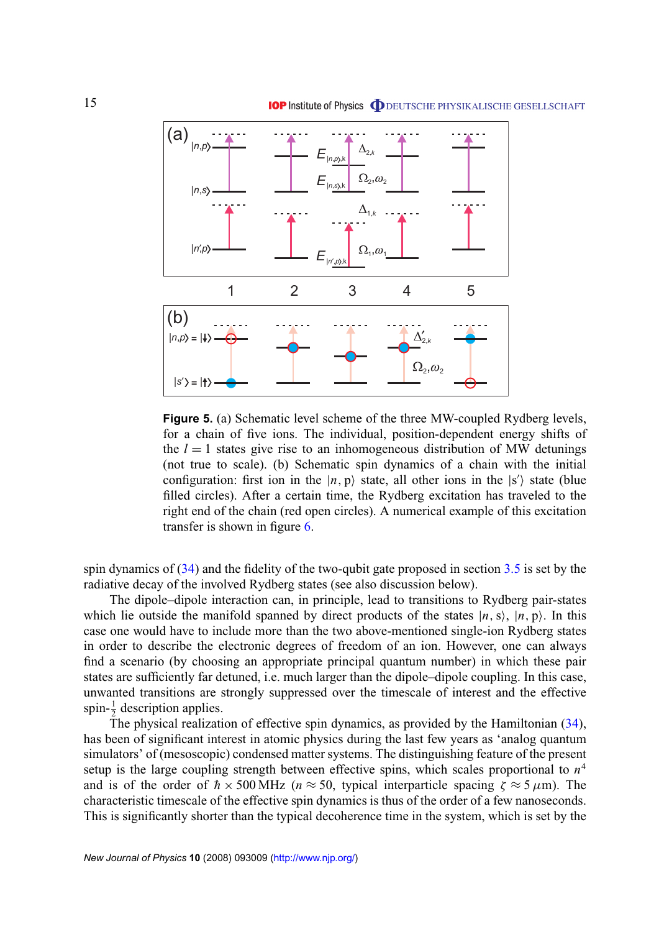<span id="page-14-0"></span>

**Figure 5.** (a) Schematic level scheme of the three MW-coupled Rydberg levels, for a chain of five ions. The individual, position-dependent energy shifts of the  $l = 1$  states give rise to an inhomogeneous distribution of MW detunings (not true to scale). (b) Schematic spin dynamics of a chain with the initial configuration: first ion in the  $|n, p\rangle$  state, all other ions in the  $|s'\rangle$  state (blue filled circles). After a certain time, the Rydberg excitation has traveled to the right end of the chain (red open circles). A numerical example of this excitation transfer is shown in figure [6.](#page-17-0)

spin dynamics of [\(34\)](#page-13-0) and the fidelity of the two-qubit gate proposed in section [3.5](#page-19-0) is set by the radiative decay of the involved Rydberg states (see also discussion below).

The dipole–dipole interaction can, in principle, lead to transitions to Rydberg pair-states which lie outside the manifold spanned by direct products of the states  $|n, s\rangle$ ,  $|n, p\rangle$ . In this case one would have to include more than the two above-mentioned single-ion Rydberg states in order to describe the electronic degrees of freedom of an ion. However, one can always find a scenario (by choosing an appropriate principal quantum number) in which these pair states are sufficiently far detuned, i.e. much larger than the dipole–dipole coupling. In this case, unwanted transitions are strongly suppressed over the timescale of interest and the effective spin- $\frac{1}{2}$  description applies.

The physical realization of effective spin dynamics, as provided by the Hamiltonian [\(34\)](#page-13-0), has been of significant interest in atomic physics during the last few years as 'analog quantum simulators' of (mesoscopic) condensed matter systems. The distinguishing feature of the present setup is the large coupling strength between effective spins, which scales proportional to *n* 4 and is of the order of  $h \times 500 \text{ MHz}$  ( $n \approx 50$ , typical interparticle spacing  $\zeta \approx 5 \mu \text{m}$ ). The characteristic timescale of the effective spin dynamics is thus of the order of a few nanoseconds. This is significantly shorter than the typical decoherence time in the system, which is set by the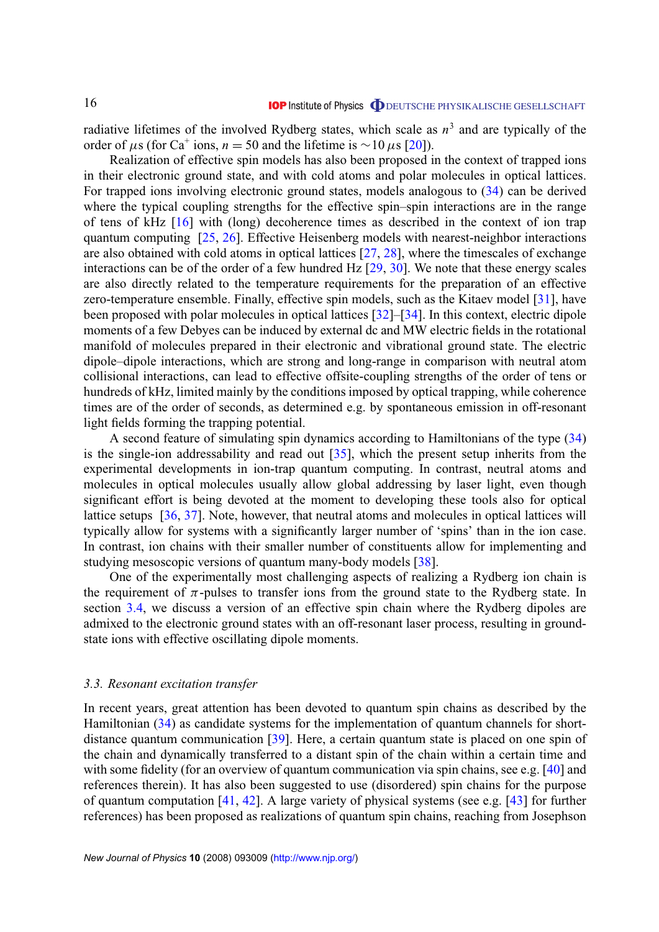<span id="page-15-0"></span>radiative lifetimes of the involved Rydberg states, which scale as *n* 3 and are typically of the order of  $\mu$ s (for Ca<sup>+</sup> ions, *n* = 50 and the lifetime is ~10  $\mu$ s [\[20\]](#page-27-0)).

Realization of effective spin models has also been proposed in the context of trapped ions in their electronic ground state, and with cold atoms and polar molecules in optical lattices. For trapped ions involving electronic ground states, models analogous to [\(34\)](#page-13-0) can be derived where the typical coupling strengths for the effective spin–spin interactions are in the range of tens of kHz [\[16\]](#page-27-0) with (long) decoherence times as described in the context of ion trap quantum computing [\[25,](#page-27-0) [26\]](#page-27-0). Effective Heisenberg models with nearest-neighbor interactions are also obtained with cold atoms in optical lattices [\[27,](#page-27-0) [28\]](#page-27-0), where the timescales of exchange interactions can be of the order of a few hundred Hz [\[29,](#page-27-0) [30\]](#page-27-0). We note that these energy scales are also directly related to the temperature requirements for the preparation of an effective zero-temperature ensemble. Finally, effective spin models, such as the Kitaev model [\[31\]](#page-27-0), have been proposed with polar molecules in optical lattices [\[32\]](#page-27-0)–[\[34\]](#page-27-0). In this context, electric dipole moments of a few Debyes can be induced by external dc and MW electric fields in the rotational manifold of molecules prepared in their electronic and vibrational ground state. The electric dipole–dipole interactions, which are strong and long-range in comparison with neutral atom collisional interactions, can lead to effective offsite-coupling strengths of the order of tens or hundreds of kHz, limited mainly by the conditions imposed by optical trapping, while coherence times are of the order of seconds, as determined e.g. by spontaneous emission in off-resonant light fields forming the trapping potential.

A second feature of simulating spin dynamics according to Hamiltonians of the type [\(34\)](#page-13-0) is the single-ion addressability and read out [\[35\]](#page-28-0), which the present setup inherits from the experimental developments in ion-trap quantum computing. In contrast, neutral atoms and molecules in optical molecules usually allow global addressing by laser light, even though significant effort is being devoted at the moment to developing these tools also for optical lattice setups [\[36,](#page-28-0) [37\]](#page-28-0). Note, however, that neutral atoms and molecules in optical lattices will typically allow for systems with a significantly larger number of 'spins' than in the ion case. In contrast, ion chains with their smaller number of constituents allow for implementing and studying mesoscopic versions of quantum many-body models [\[38\]](#page-28-0).

One of the experimentally most challenging aspects of realizing a Rydberg ion chain is the requirement of  $\pi$ -pulses to transfer ions from the ground state to the Rydberg state. In section [3.4,](#page-16-0) we discuss a version of an effective spin chain where the Rydberg dipoles are admixed to the electronic ground states with an off-resonant laser process, resulting in groundstate ions with effective oscillating dipole moments.

#### *3.3. Resonant excitation transfer*

In recent years, great attention has been devoted to quantum spin chains as described by the Hamiltonian [\(34\)](#page-13-0) as candidate systems for the implementation of quantum channels for shortdistance quantum communication [\[39\]](#page-28-0). Here, a certain quantum state is placed on one spin of the chain and dynamically transferred to a distant spin of the chain within a certain time and with some fidelity (for an overview of quantum communication via spin chains, see e.g. [\[40\]](#page-28-0) and references therein). It has also been suggested to use (disordered) spin chains for the purpose of quantum computation [\[41,](#page-28-0) [42\]](#page-28-0). A large variety of physical systems (see e.g. [\[43\]](#page-28-0) for further references) has been proposed as realizations of quantum spin chains, reaching from Josephson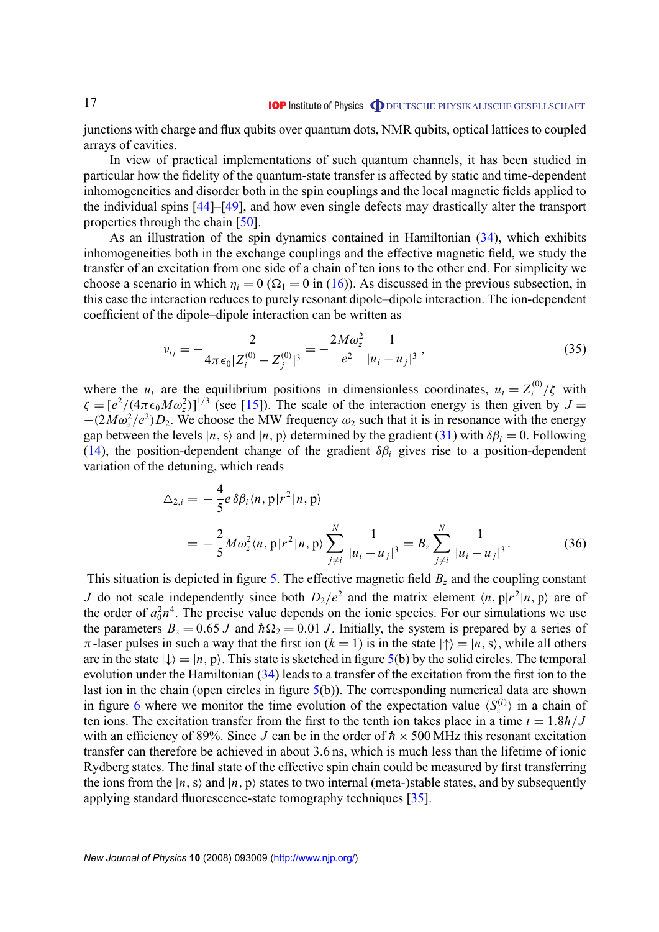<span id="page-16-0"></span>junctions with charge and flux qubits over quantum dots, NMR qubits, optical lattices to coupled arrays of cavities.

In view of practical implementations of such quantum channels, it has been studied in particular how the fidelity of the quantum-state transfer is affected by static and time-dependent inhomogeneities and disorder both in the spin couplings and the local magnetic fields applied to the individual spins [\[44\]](#page-28-0)–[\[49\]](#page-28-0), and how even single defects may drastically alter the transport properties through the chain [\[50\]](#page-28-0).

As an illustration of the spin dynamics contained in Hamiltonian [\(34\)](#page-13-0), which exhibits inhomogeneities both in the exchange couplings and the effective magnetic field, we study the transfer of an excitation from one side of a chain of ten ions to the other end. For simplicity we choose a scenario in which  $\eta_i = 0$  ( $\Omega_1 = 0$  in [\(16\)](#page-8-0)). As discussed in the previous subsection, in this case the interaction reduces to purely resonant dipole–dipole interaction. The ion-dependent coefficient of the dipole–dipole interaction can be written as

$$
v_{ij} = -\frac{2}{4\pi\epsilon_0 |Z_i^{(0)} - Z_j^{(0)}|^3} = -\frac{2M\omega_z^2}{e^2} \frac{1}{|u_i - u_j|^3},\tag{35}
$$

where the  $u_i$  are the equilibrium positions in dimensionless coordinates,  $u_i = Z_i^{(0)}$  $\int_{i}^{(0)}$ / $\zeta$  with  $\zeta = [e^2/(4\pi\epsilon_0 M \omega_z^2)]^{1/3}$  (see [\[15\]](#page-27-0)). The scale of the interaction energy is then given by  $J =$  $-(2M\omega_z^2/e^2)D_2$ . We choose the MW frequency  $\omega_2$  such that it is in resonance with the energy gap between the levels  $|n, s\rangle$  and  $|n, p\rangle$  determined by the gradient [\(31\)](#page-12-0) with  $\delta\beta_i = 0$ . Following [\(14\)](#page-7-0), the position-dependent change of the gradient  $\delta \beta_i$  gives rise to a position-dependent variation of the detuning, which reads

$$
\Delta_{2,i} = -\frac{4}{5} e \delta \beta_i \langle n, p | r^2 | n, p \rangle
$$
  
=  $-\frac{2}{5} M \omega_z^2 \langle n, p | r^2 | n, p \rangle \sum_{j \neq i}^N \frac{1}{|u_i - u_j|^3} = B_z \sum_{j \neq i}^N \frac{1}{|u_i - u_j|^3}.$  (36)

This situation is depicted in figure [5.](#page-14-0) The effective magnetic field *B<sup>z</sup>* and the coupling constant *J* do not scale independently since both  $D_2/e^2$  and the matrix element  $\langle n, p|r^2|n, p \rangle$  are of the order of  $a_0^2n^4$ . The precise value depends on the ionic species. For our simulations we use the parameters  $B_z = 0.65 J$  and  $\hbar\Omega_2 = 0.01 J$ . Initially, the system is prepared by a series of  $\pi$ -laser pulses in such a way that the first ion ( $k = 1$ ) is in the state  $|\uparrow\rangle = |n, s\rangle$ , while all others are in the state  $|\downarrow\rangle = |n, p\rangle$ . This state is sketched in figure [5\(](#page-14-0)b) by the solid circles. The temporal evolution under the Hamiltonian [\(34\)](#page-13-0) leads to a transfer of the excitation from the first ion to the last ion in the chain (open circles in figure [5\(](#page-14-0)b)). The corresponding numerical data are shown in figure [6](#page-17-0) where we monitor the time evolution of the expectation value  $\langle S_z^{(i)} \rangle$  in a chain of ten ions. The excitation transfer from the first to the tenth ion takes place in a time  $t = 1.8\hbar/J$ with an efficiency of 89%. Since *J* can be in the order of  $h \times 500$  MHz this resonant excitation transfer can therefore be achieved in about 3.6 ns, which is much less than the lifetime of ionic Rydberg states. The final state of the effective spin chain could be measured by first transferring the ions from the  $|n, s\rangle$  and  $|n, p\rangle$  states to two internal (meta-)stable states, and by subsequently applying standard fluorescence-state tomography techniques [\[35\]](#page-28-0).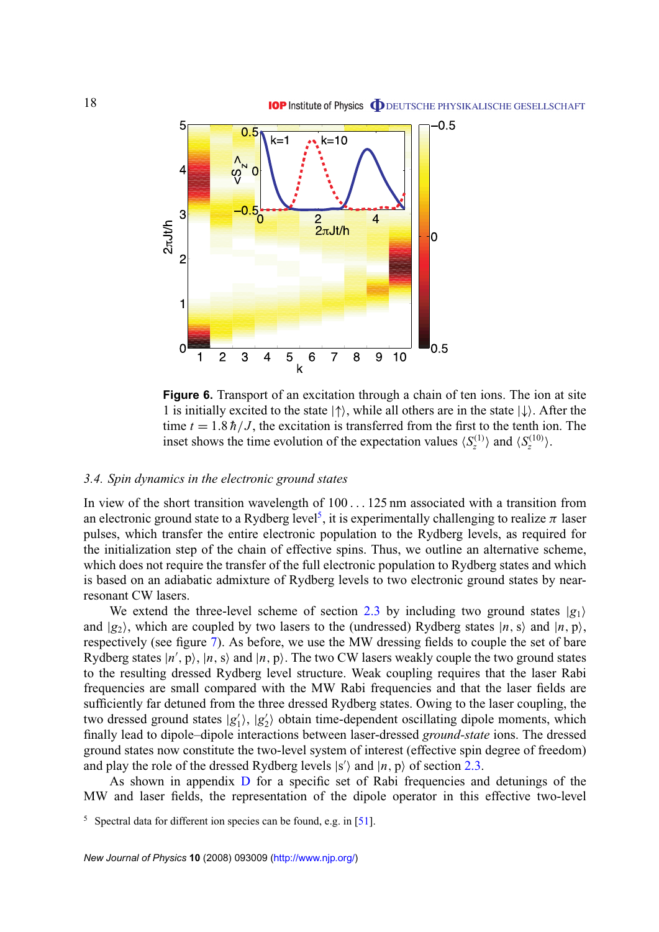<span id="page-17-0"></span>

**Figure 6.** Transport of an excitation through a chain of ten ions. The ion at site 1 is initially excited to the state  $|\uparrow\rangle$ , while all others are in the state  $|\downarrow\rangle$ . After the time  $t = 1.8 \hbar / J$ , the excitation is transferred from the first to the tenth ion. The inset shows the time evolution of the expectation values  $\langle S_z^{(1)} \rangle$  and  $\langle S_z^{(10)} \rangle$ .

#### *3.4. Spin dynamics in the electronic ground states*

In view of the short transition wavelength of 100 . . . 125 nm associated with a transition from an electronic ground state to a Rydberg level<sup>5</sup>, it is experimentally challenging to realize  $\pi$  laser pulses, which transfer the entire electronic population to the Rydberg levels, as required for the initialization step of the chain of effective spins. Thus, we outline an alternative scheme, which does not require the transfer of the full electronic population to Rydberg states and which is based on an adiabatic admixture of Rydberg levels to two electronic ground states by nearresonant CW lasers.

We extend the three-level scheme of section [2.3](#page-7-0) by including two ground states  $|g_1\rangle$ and  $|g_2\rangle$ , which are coupled by two lasers to the (undressed) Rydberg states  $|n, s\rangle$  and  $|n, p\rangle$ , respectively (see figure [7\)](#page-18-0). As before, we use the MW dressing fields to couple the set of bare Rydberg states  $|n', p\rangle$ ,  $|n, s\rangle$  and  $|n, p\rangle$ . The two CW lasers weakly couple the two ground states to the resulting dressed Rydberg level structure. Weak coupling requires that the laser Rabi frequencies are small compared with the MW Rabi frequencies and that the laser fields are sufficiently far detuned from the three dressed Rydberg states. Owing to the laser coupling, the two dressed ground states |g'<sub>1</sub>  $\vert 1\rangle, \vert g_2'$  $\langle$ <sub>2</sub>) obtain time-dependent oscillating dipole moments, which finally lead to dipole–dipole interactions between laser-dressed *ground-state* ions. The dressed ground states now constitute the two-level system of interest (effective spin degree of freedom) and play the role of the dressed Rydberg levels  $|s'\rangle$  and  $|n, p\rangle$  of section [2.3.](#page-7-0)

As shown in appendix [D](#page-25-0) for a specific set of Rabi frequencies and detunings of the MW and laser fields, the representation of the dipole operator in this effective two-level

 $5$  Spectral data for different ion species can be found, e.g. in [\[51\]](#page-28-0).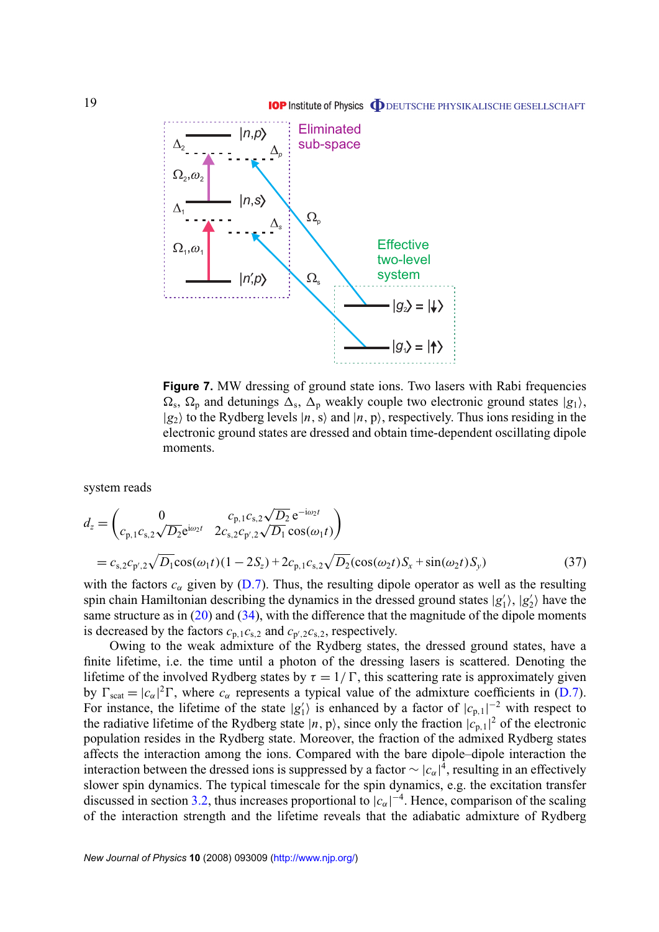<span id="page-18-0"></span>

**Figure 7.** MW dressing of ground state ions. Two lasers with Rabi frequencies  $\Omega_s$ ,  $\Omega_p$  and detunings  $\Delta_s$ ,  $\Delta_p$  weakly couple two electronic ground states  $|g_1\rangle$ ,  $|g_2\rangle$  to the Rydberg levels  $|n, s\rangle$  and  $|n, p\rangle$ , respectively. Thus ions residing in the electronic ground states are dressed and obtain time-dependent oscillating dipole moments.

system reads

$$
d_z = \begin{pmatrix} 0 & c_{p,1}c_{s,2}\sqrt{D_2} e^{-i\omega_2 t} \\ c_{p,1}c_{s,2}\sqrt{D_2} e^{i\omega_2 t} & 2c_{s,2}c_{p',2}\sqrt{D_1} \cos(\omega_1 t) \end{pmatrix}
$$
  
=  $c_{s,2}c_{p',2}\sqrt{D_1}\cos(\omega_1 t)(1-2S_z)+2c_{p,1}c_{s,2}\sqrt{D_2}(\cos(\omega_2 t)S_x + \sin(\omega_2 t)S_y)$  (37)

with the factors  $c_{\alpha}$  given by [\(D.7\)](#page-26-0). Thus, the resulting dipole operator as well as the resulting spin chain Hamiltonian describing the dynamics in the dressed ground states  $|g\rangle$  $\ket{i}, \ket{g'_2}$  $\binom{1}{2}$  have the same structure as in  $(20)$  and  $(34)$ , with the difference that the magnitude of the dipole moments is decreased by the factors  $c_{p,1}c_{s,2}$  and  $c_{p',2}c_{s,2}$ , respectively.

Owing to the weak admixture of the Rydberg states, the dressed ground states, have a finite lifetime, i.e. the time until a photon of the dressing lasers is scattered. Denoting the lifetime of the involved Rydberg states by  $\tau = 1/\Gamma$ , this scattering rate is approximately given by  $\Gamma_{\text{scat}} = |c_{\alpha}|^2 \Gamma$ , where  $c_{\alpha}$  represents a typical value of the admixture coefficients in [\(D.7\)](#page-26-0). For instance, the lifetime of the state  $|g|$  $\binom{1}{1}$  is enhanced by a factor of  $|c_{p,1}|^{-2}$  with respect to the radiative lifetime of the Rydberg state  $|n, p\rangle$ , since only the fraction  $|c_{p,1}|^2$  of the electronic population resides in the Rydberg state. Moreover, the fraction of the admixed Rydberg states affects the interaction among the ions. Compared with the bare dipole–dipole interaction the interaction between the dressed ions is suppressed by a factor  $\sim |c_{\alpha}|^{\frac{2}{3}}$ , resulting in an effectively slower spin dynamics. The typical timescale for the spin dynamics, e.g. the excitation transfer discussed in section [3.2,](#page-12-0) thus increases proportional to  $|c_{\alpha}|^{-4}$ . Hence, comparison of the scaling of the interaction strength and the lifetime reveals that the adiabatic admixture of Rydberg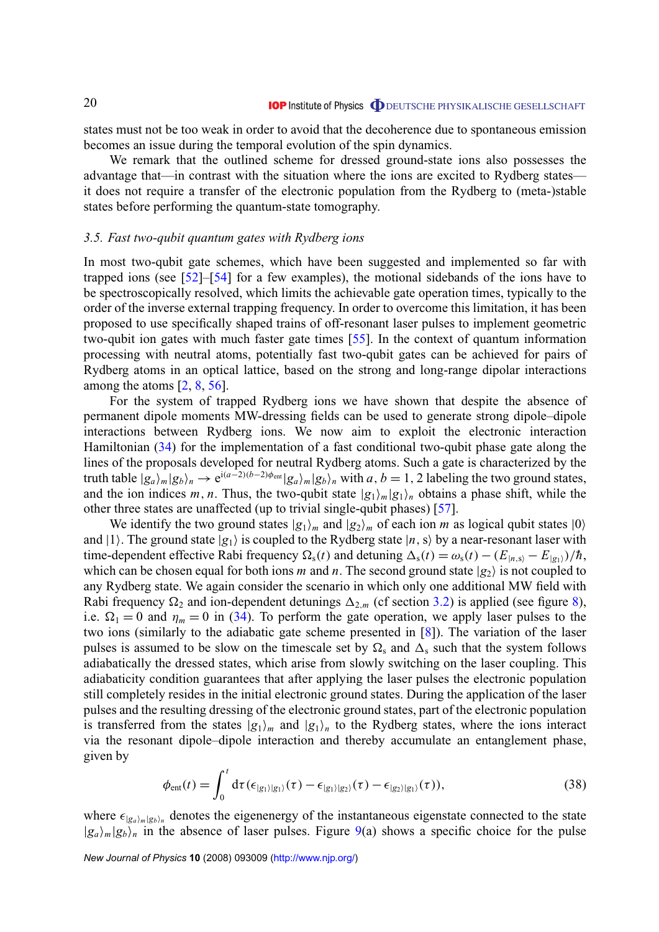<span id="page-19-0"></span>states must not be too weak in order to avoid that the decoherence due to spontaneous emission becomes an issue during the temporal evolution of the spin dynamics.

We remark that the outlined scheme for dressed ground-state ions also possesses the advantage that—in contrast with the situation where the ions are excited to Rydberg states it does not require a transfer of the electronic population from the Rydberg to (meta-)stable states before performing the quantum-state tomography.

#### *3.5. Fast two-qubit quantum gates with Rydberg ions*

In most two-qubit gate schemes, which have been suggested and implemented so far with trapped ions (see [\[52\]](#page-28-0)–[\[54\]](#page-28-0) for a few examples), the motional sidebands of the ions have to be spectroscopically resolved, which limits the achievable gate operation times, typically to the order of the inverse external trapping frequency. In order to overcome this limitation, it has been proposed to use specifically shaped trains of off-resonant laser pulses to implement geometric two-qubit ion gates with much faster gate times [\[55\]](#page-28-0). In the context of quantum information processing with neutral atoms, potentially fast two-qubit gates can be achieved for pairs of Rydberg atoms in an optical lattice, based on the strong and long-range dipolar interactions among the atoms [\[2,](#page-27-0) [8,](#page-27-0) [56\]](#page-28-0).

For the system of trapped Rydberg ions we have shown that despite the absence of permanent dipole moments MW-dressing fields can be used to generate strong dipole–dipole interactions between Rydberg ions. We now aim to exploit the electronic interaction Hamiltonian [\(34\)](#page-13-0) for the implementation of a fast conditional two-qubit phase gate along the lines of the proposals developed for neutral Rydberg atoms. Such a gate is characterized by the truth table  $|g_a\rangle_m|g_b\rangle_n \to e^{i(a-2)(b-2)\phi_{\text{ent}}}|g_a\rangle_m|g_b\rangle_n$  with  $a, b = 1, 2$  labeling the two ground states, and the ion indices *m*, *n*. Thus, the two-qubit state  $|g_1\rangle_m|g_1\rangle_n$  obtains a phase shift, while the other three states are unaffected (up to trivial single-qubit phases) [\[57\]](#page-28-0).

We identify the two ground states  $|g_1\rangle_m$  and  $|g_2\rangle_m$  of each ion *m* as logical qubit states  $|0\rangle$ and  $|1\rangle$ . The ground state  $|g_1\rangle$  is coupled to the Rydberg state  $|n,s\rangle$  by a near-resonant laser with time-dependent effective Rabi frequency  $\Omega_s(t)$  and detuning  $\Delta_s(t) = \omega_s(t) - (E_{|n,s\rangle} - E_{|g_1\rangle})/\hbar$ , which can be chosen equal for both ions *m* and *n*. The second ground state  $|g_2\rangle$  is not coupled to any Rydberg state. We again consider the scenario in which only one additional MW field with Rabi frequency  $\Omega_2$  and ion-dependent detunings  $\Delta_{2,m}$  (cf section [3.2\)](#page-12-0) is applied (see figure [8\)](#page-20-0), i.e.  $\Omega_1 = 0$  and  $\eta_m = 0$  in [\(34\)](#page-13-0). To perform the gate operation, we apply laser pulses to the two ions (similarly to the adiabatic gate scheme presented in [\[8\]](#page-27-0)). The variation of the laser pulses is assumed to be slow on the timescale set by  $\Omega_s$  and  $\Delta_s$  such that the system follows adiabatically the dressed states, which arise from slowly switching on the laser coupling. This adiabaticity condition guarantees that after applying the laser pulses the electronic population still completely resides in the initial electronic ground states. During the application of the laser pulses and the resulting dressing of the electronic ground states, part of the electronic population is transferred from the states  $|g_1\rangle_m$  and  $|g_1\rangle_n$  to the Rydberg states, where the ions interact via the resonant dipole–dipole interaction and thereby accumulate an entanglement phase, given by

$$
\phi_{\text{ent}}(t) = \int_0^t \mathrm{d}\tau (\epsilon_{|g_1\rangle|g_1\rangle}(\tau) - \epsilon_{|g_1\rangle|g_2\rangle}(\tau) - \epsilon_{|g_2\rangle|g_1\rangle}(\tau)),\tag{38}
$$

where  $\epsilon_{|g_a\rangle_m|g_b\rangle_n}$  denotes the eigenenergy of the instantaneous eigenstate connected to the state  $|g_a\rangle_m|g_b\rangle_n$  in the absence of laser pulses. Figure [9\(](#page-20-0)a) shows a specific choice for the pulse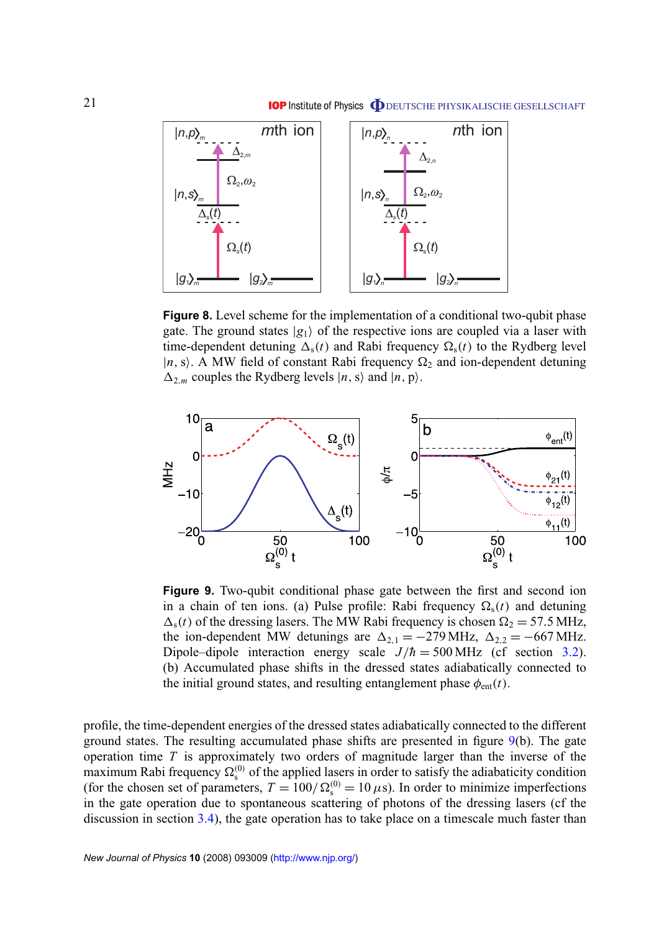<span id="page-20-0"></span>

**Figure 8.** Level scheme for the implementation of a conditional two-qubit phase gate. The ground states  $|g_1\rangle$  of the respective ions are coupled via a laser with time-dependent detuning  $\Delta_{s}(t)$  and Rabi frequency  $\Omega_{s}(t)$  to the Rydberg level  $|n, s\rangle$ . A MW field of constant Rabi frequency  $\Omega_2$  and ion-dependent detuning  $\Delta_{2,m}$  couples the Rydberg levels  $|n, s\rangle$  and  $|n, p\rangle$ .



**Figure 9.** Two-qubit conditional phase gate between the first and second ion in a chain of ten ions. (a) Pulse profile: Rabi frequency  $\Omega_s(t)$  and detuning  $\Delta_{\rm s}(t)$  of the dressing lasers. The MW Rabi frequency is chosen  $\Omega_2 = 57.5$  MHz, the ion-dependent MW detunings are  $\Delta_{2,1} = -279 \text{ MHz}$ ,  $\Delta_{2,2} = -667 \text{ MHz}$ . Dipole–dipole interaction energy scale  $J/\hbar = 500 \text{ MHz}$  (cf section [3.2\)](#page-12-0). (b) Accumulated phase shifts in the dressed states adiabatically connected to the initial ground states, and resulting entanglement phase  $\phi_{ent}(t)$ .

profile, the time-dependent energies of the dressed states adiabatically connected to the different ground states. The resulting accumulated phase shifts are presented in figure 9(b). The gate operation time *T* is approximately two orders of magnitude larger than the inverse of the maximum Rabi frequency  $\Omega_{\rm s}^{(0)}$  of the applied lasers in order to satisfy the adiabaticity condition (for the chosen set of parameters,  $T = 100/\Omega_s^{(0)} = 10 \,\mu s$ ). In order to minimize imperfections in the gate operation due to spontaneous scattering of photons of the dressing lasers (cf the discussion in section [3.4\)](#page-16-0), the gate operation has to take place on a timescale much faster than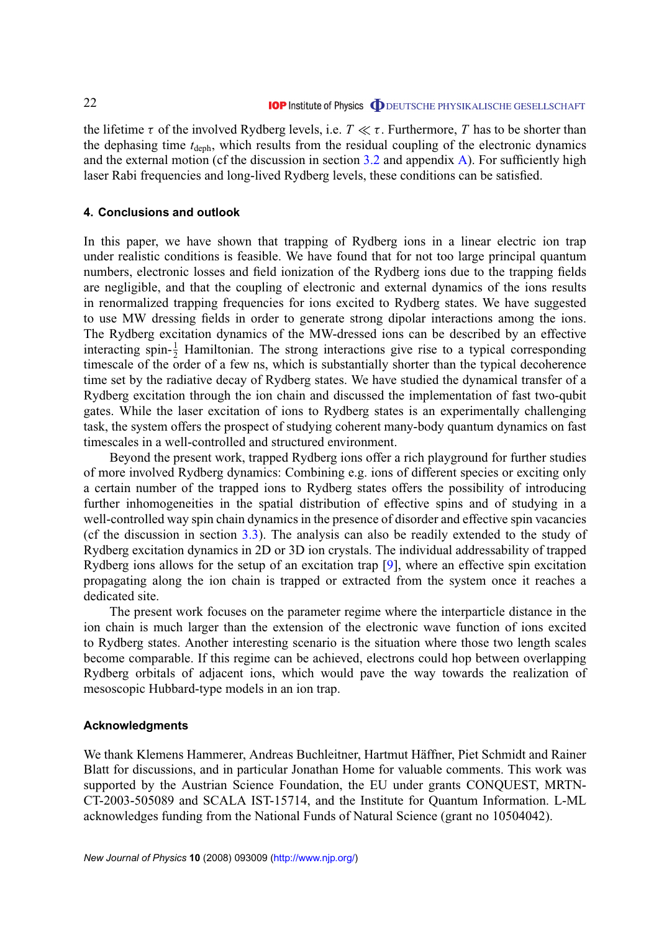<span id="page-21-0"></span>the lifetime  $\tau$  of the involved Rydberg levels, i.e.  $T \ll \tau$ . Furthermore, *T* has to be shorter than the dephasing time  $t_{\text{deph}}$ , which results from the residual coupling of the electronic dynamics and the external motion (cf the discussion in section  $3.2$  and appendix A). For sufficiently high laser Rabi frequencies and long-lived Rydberg levels, these conditions can be satisfied.

#### **4. Conclusions and outlook**

In this paper, we have shown that trapping of Rydberg ions in a linear electric ion trap under realistic conditions is feasible. We have found that for not too large principal quantum numbers, electronic losses and field ionization of the Rydberg ions due to the trapping fields are negligible, and that the coupling of electronic and external dynamics of the ions results in renormalized trapping frequencies for ions excited to Rydberg states. We have suggested to use MW dressing fields in order to generate strong dipolar interactions among the ions. The Rydberg excitation dynamics of the MW-dressed ions can be described by an effective interacting spin- $\frac{1}{2}$  Hamiltonian. The strong interactions give rise to a typical corresponding timescale of the order of a few ns, which is substantially shorter than the typical decoherence time set by the radiative decay of Rydberg states. We have studied the dynamical transfer of a Rydberg excitation through the ion chain and discussed the implementation of fast two-qubit gates. While the laser excitation of ions to Rydberg states is an experimentally challenging task, the system offers the prospect of studying coherent many-body quantum dynamics on fast timescales in a well-controlled and structured environment.

Beyond the present work, trapped Rydberg ions offer a rich playground for further studies of more involved Rydberg dynamics: Combining e.g. ions of different species or exciting only a certain number of the trapped ions to Rydberg states offers the possibility of introducing further inhomogeneities in the spatial distribution of effective spins and of studying in a well-controlled way spin chain dynamics in the presence of disorder and effective spin vacancies (cf the discussion in section [3.3\)](#page-15-0). The analysis can also be readily extended to the study of Rydberg excitation dynamics in 2D or 3D ion crystals. The individual addressability of trapped Rydberg ions allows for the setup of an excitation trap [\[9\]](#page-27-0), where an effective spin excitation propagating along the ion chain is trapped or extracted from the system once it reaches a dedicated site.

The present work focuses on the parameter regime where the interparticle distance in the ion chain is much larger than the extension of the electronic wave function of ions excited to Rydberg states. Another interesting scenario is the situation where those two length scales become comparable. If this regime can be achieved, electrons could hop between overlapping Rydberg orbitals of adjacent ions, which would pave the way towards the realization of mesoscopic Hubbard-type models in an ion trap.

#### **Acknowledgments**

We thank Klemens Hammerer, Andreas Buchleitner, Hartmut Häffner, Piet Schmidt and Rainer Blatt for discussions, and in particular Jonathan Home for valuable comments. This work was supported by the Austrian Science Foundation, the EU under grants CONQUEST, MRTN-CT-2003-505089 and SCALA IST-15714, and the Institute for Quantum Information. L-ML acknowledges funding from the National Funds of Natural Science (grant no 10504042).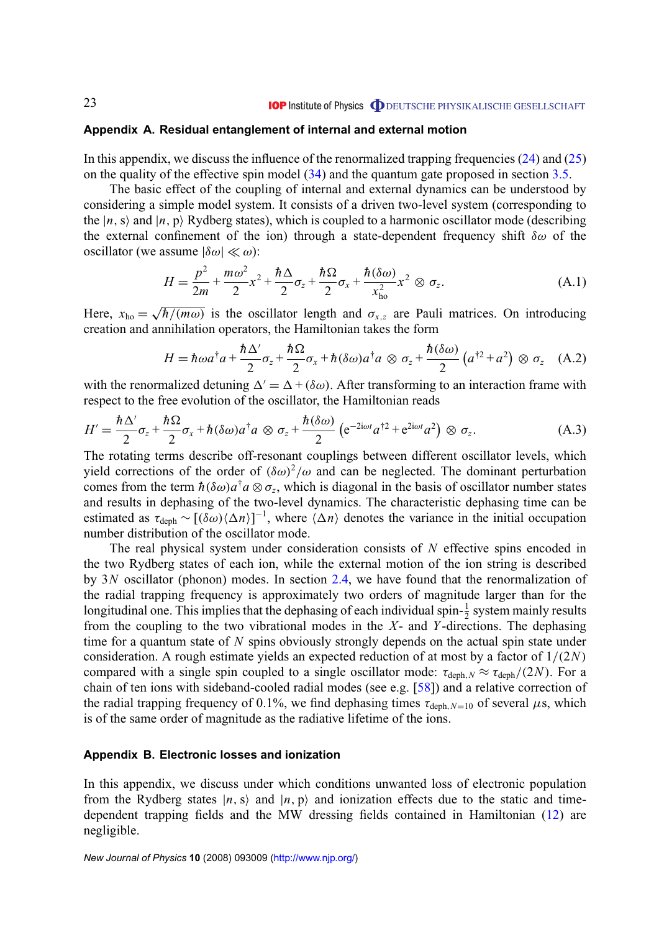#### <span id="page-22-0"></span>**Appendix A. Residual entanglement of internal and external motion**

In this appendix, we discuss the influence of the renormalized trapping frequencies  $(24)$  and  $(25)$ on the quality of the effective spin model  $(34)$  and the quantum gate proposed in section [3.5.](#page-19-0)

The basic effect of the coupling of internal and external dynamics can be understood by considering a simple model system. It consists of a driven two-level system (corresponding to the  $|n, s\rangle$  and  $|n, p\rangle$  Rydberg states), which is coupled to a harmonic oscillator mode (describing the external confinement of the ion) through a state-dependent frequency shift  $\delta\omega$  of the oscillator (we assume  $|\delta \omega| \ll \omega$ ):

$$
H = \frac{p^2}{2m} + \frac{m\omega^2}{2}x^2 + \frac{\hbar\Delta}{2}\sigma_z + \frac{\hbar\Omega}{2}\sigma_x + \frac{\hbar(\delta\omega)}{x_{ho}^2}x^2 \otimes \sigma_z.
$$
 (A.1)

Here,  $x_{ho} =$ √  $\overline{h/(m\omega)}$  is the oscillator length and  $\sigma_{x,z}$  are Pauli matrices. On introducing creation and annihilation operators, the Hamiltonian takes the form

$$
H = \hbar \omega a^{\dagger} a + \frac{\hbar \Delta'}{2} \sigma_z + \frac{\hbar \Omega}{2} \sigma_x + \hbar (\delta \omega) a^{\dagger} a \otimes \sigma_z + \frac{\hbar (\delta \omega)}{2} \left( a^{\dagger 2} + a^2 \right) \otimes \sigma_z \quad (A.2)
$$

with the renormalized detuning  $\Delta' = \Delta + (\delta \omega)$ . After transforming to an interaction frame with respect to the free evolution of the oscillator, the Hamiltonian reads

$$
H' = \frac{\hbar \Delta'}{2} \sigma_z + \frac{\hbar \Omega}{2} \sigma_x + \hbar (\delta \omega) a^\dagger a \otimes \sigma_z + \frac{\hbar (\delta \omega)}{2} \left( e^{-2i\omega t} a^{\dagger 2} + e^{2i\omega t} a^2 \right) \otimes \sigma_z.
$$
 (A.3)

The rotating terms describe off-resonant couplings between different oscillator levels, which yield corrections of the order of  $(\delta \omega)^2/\omega$  and can be neglected. The dominant perturbation comes from the term  $\hbar(\delta \omega) a^{\dagger} a \otimes \sigma_z$ , which is diagonal in the basis of oscillator number states and results in dephasing of the two-level dynamics. The characteristic dephasing time can be estimated as  $\tau_{\text{deph}} \sim [(\delta \omega)\langle\Delta n\rangle]^{-1}$ , where  $\langle \Delta n \rangle$  denotes the variance in the initial occupation number distribution of the oscillator mode.

The real physical system under consideration consists of *N* effective spins encoded in the two Rydberg states of each ion, while the external motion of the ion string is described by 3*N* oscillator (phonon) modes. In section [2.4,](#page-9-0) we have found that the renormalization of the radial trapping frequency is approximately two orders of magnitude larger than for the longitudinal one. This implies that the dephasing of each individual spin- $\frac{1}{2}$  system mainly results from the coupling to the two vibrational modes in the *X*- and *Y* -directions. The dephasing time for a quantum state of *N* spins obviously strongly depends on the actual spin state under consideration. A rough estimate yields an expected reduction of at most by a factor of 1/(2*N*) compared with a single spin coupled to a single oscillator mode:  $\tau_{\text{deph},N} \approx \tau_{\text{deph}}/(2N)$ . For a chain of ten ions with sideband-cooled radial modes (see e.g. [\[58\]](#page-28-0)) and a relative correction of the radial trapping frequency of 0.1%, we find dephasing times  $\tau_{\text{deph},N=10}$  of several  $\mu$ s, which is of the same order of magnitude as the radiative lifetime of the ions.

#### **Appendix B. Electronic losses and ionization**

In this appendix, we discuss under which conditions unwanted loss of electronic population from the Rydberg states  $|n, s\rangle$  and  $|n, p\rangle$  and ionization effects due to the static and timedependent trapping fields and the MW dressing fields contained in Hamiltonian [\(12\)](#page-5-0) are negligible.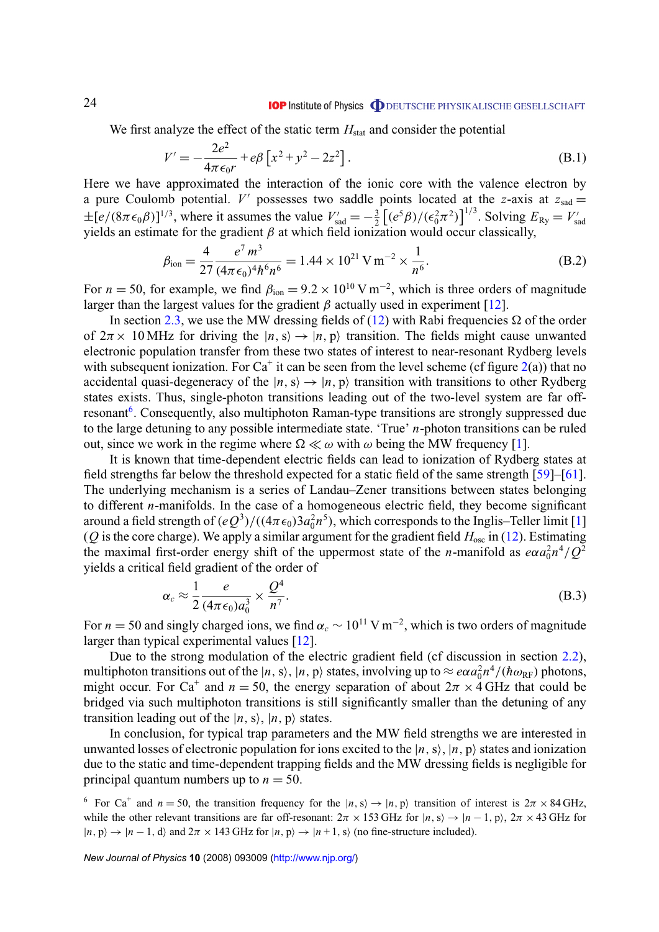We first analyze the effect of the static term  $H<sub>stat</sub>$  and consider the potential

$$
V' = -\frac{2e^2}{4\pi\epsilon_0 r} + e\beta \left[ x^2 + y^2 - 2z^2 \right].
$$
 (B.1)

Here we have approximated the interaction of the ionic core with the valence electron by a pure Coulomb potential. *V'* possesses two saddle points located at the *z*-axis at  $z_{\text{sad}} =$  $\pm[e/(8\pi\epsilon_0\beta)]^{1/3}$ , where it assumes the value  $V'_{\text{sad}} = -\frac{3}{2}$  $\frac{3}{2} \left[ (e^5 \beta) / (\epsilon_0^2 \pi^2) \right]^{1/3}$ . Solving  $E_{\text{Ry}} = V'_{\text{s}}$  $\pm$ [ $\epsilon$ /(δλεύ $\rho$ )] , where it assumes the value  $v_{\text{sad}} = -\frac{1}{2}$  [( $\epsilon$   $\rho$ )/( $\epsilon$ <sub>0</sub> $\lambda$ )] . Solving  $E_{\text{RY}} = v_{\text{sad}}$  yields an estimate for the gradient  $\beta$  at which field ionization would occur classically,

$$
\beta_{\text{ion}} = \frac{4}{27} \frac{e^7 m^3}{(4\pi \epsilon_0)^4 \hbar^6 n^6} = 1.44 \times 10^{21} \,\text{V} \,\text{m}^{-2} \times \frac{1}{n^6}.\tag{B.2}
$$

For  $n = 50$ , for example, we find  $\beta_{\text{ion}} = 9.2 \times 10^{10} \text{ V m}^{-2}$ , which is three orders of magnitude larger than the largest values for the gradient  $\beta$  actually used in experiment [\[12\]](#page-27-0).

In section [2.3,](#page-7-0) we use the MW dressing fields of [\(12\)](#page-5-0) with Rabi frequencies  $\Omega$  of the order of  $2\pi \times 10$  MHz for driving the  $|n,s\rangle \rightarrow |n,p\rangle$  transition. The fields might cause unwanted electronic population transfer from these two states of interest to near-resonant Rydberg levels with subsequent ionization. For Ca<sup>+</sup> it can be seen from the level scheme (cf figure  $2(a)$  $2(a)$ ) that no accidental quasi-degeneracy of the  $|n, s\rangle \rightarrow |n, p\rangle$  transition with transitions to other Rydberg states exists. Thus, single-photon transitions leading out of the two-level system are far offresonant<sup>6</sup>. Consequently, also multiphoton Raman-type transitions are strongly suppressed due to the large detuning to any possible intermediate state. 'True' *n*-photon transitions can be ruled out, since we work in the regime where  $\Omega \ll \omega$  with  $\omega$  being the MW frequency [\[1\]](#page-27-0).

It is known that time-dependent electric fields can lead to ionization of Rydberg states at field strengths far below the threshold expected for a static field of the same strength [\[59\]](#page-28-0)–[\[61\]](#page-28-0). The underlying mechanism is a series of Landau–Zener transitions between states belonging to different *n*-manifolds. In the case of a homogeneous electric field, they become significant around a field strength of  $(eQ^3)/((4\pi\epsilon_0)3a_0^2n^5)$ , which corresponds to the Inglis–Teller limit [\[1\]](#page-27-0) ( $Q$  is the core charge). We apply a similar argument for the gradient field  $H_{osc}$  in [\(12\)](#page-5-0). Estimating the maximal first-order energy shift of the uppermost state of the *n*-manifold as  $e\alpha a_0^2 n^4/Q^2$ yields a critical field gradient of the order of

$$
\alpha_c \approx \frac{1}{2} \frac{e}{(4\pi\epsilon_0)a_0^3} \times \frac{Q^4}{n^7}.
$$
\n(B.3)

For  $n = 50$  and singly charged ions, we find  $\alpha_c \sim 10^{11} \text{ V m}^{-2}$ , which is two orders of magnitude larger than typical experimental values [\[12\]](#page-27-0).

Due to the strong modulation of the electric gradient field (cf discussion in section [2.2\)](#page-5-0), multiphoton transitions out of the  $|n,s\rangle$ ,  $|n,p\rangle$  states, involving up to  $\approx e\alpha a_0^2 n^4/(\hbar\omega_{\rm RF})$  photons, might occur. For Ca<sup>+</sup> and  $n = 50$ , the energy separation of about  $2\pi \times 4$  GHz that could be bridged via such multiphoton transitions is still significantly smaller than the detuning of any transition leading out of the  $|n, s\rangle$ ,  $|n, p\rangle$  states.

In conclusion, for typical trap parameters and the MW field strengths we are interested in unwanted losses of electronic population for ions excited to the  $|n, s\rangle$ ,  $|n, p\rangle$  states and ionization due to the static and time-dependent trapping fields and the MW dressing fields is negligible for principal quantum numbers up to  $n = 50$ .

<span id="page-23-0"></span>24

<sup>&</sup>lt;sup>6</sup> For Ca<sup>+</sup> and  $n = 50$ , the transition frequency for the  $|n, s\rangle \rightarrow |n, p\rangle$  transition of interest is  $2\pi \times 84$  GHz, while the other relevant transitions are far off-resonant:  $2\pi \times 153 \text{ GHz}$  for  $|n, s\rangle \rightarrow |n-1, p\rangle$ ,  $2\pi \times 43 \text{ GHz}$  for  $|n, p\rangle \rightarrow |n-1, d\rangle$  and  $2\pi \times 143$  GHz for  $|n, p\rangle \rightarrow |n+1, s\rangle$  (no fine-structure included).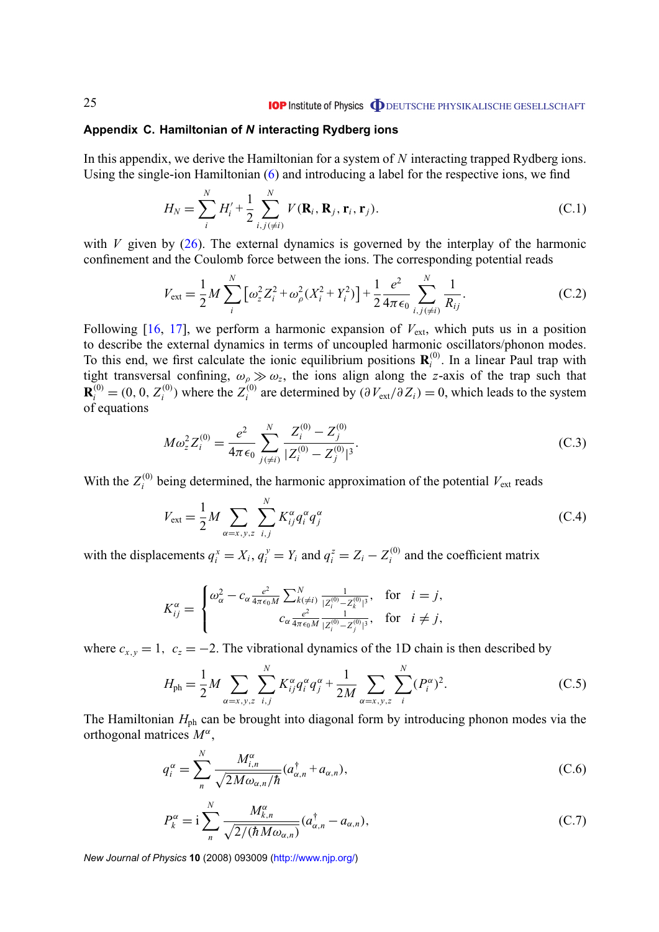#### <span id="page-24-0"></span>**Appendix C. Hamiltonian of** *N* **interacting Rydberg ions**

In this appendix, we derive the Hamiltonian for a system of *N* interacting trapped Rydberg ions. Using the single-ion Hamiltonian [\(6\)](#page-4-0) and introducing a label for the respective ions, we find

$$
H_N = \sum_{i}^{N} H'_i + \frac{1}{2} \sum_{i,j(\neq i)}^{N} V(\mathbf{R}_i, \mathbf{R}_j, \mathbf{r}_i, \mathbf{r}_j).
$$
 (C.1)

with *V* given by  $(26)$ . The external dynamics is governed by the interplay of the harmonic confinement and the Coulomb force between the ions. The corresponding potential reads

$$
V_{\text{ext}} = \frac{1}{2} M \sum_{i}^{N} \left[ \omega_{z}^{2} Z_{i}^{2} + \omega_{\rho}^{2} (X_{i}^{2} + Y_{i}^{2}) \right] + \frac{1}{2} \frac{e^{2}}{4 \pi \epsilon_{0}} \sum_{i,j(\neq i)}^{N} \frac{1}{R_{ij}}.
$$
 (C.2)

Following  $[16, 17]$  $[16, 17]$  $[16, 17]$ , we perform a harmonic expansion of  $V_{ext}$ , which puts us in a position to describe the external dynamics in terms of uncoupled harmonic oscillators/phonon modes. To this end, we first calculate the ionic equilibrium positions  $\mathbf{R}_i^{(0)}$  $i_i^{(0)}$ . In a linear Paul trap with tight transversal confining,  $\omega_{\rho} \gg \omega_z$ , the ions align along the *z*-axis of the trap such that  $\mathbf{R}_i^{(0)} = (0, 0, Z_i^{(0)})$  $Z_i^{(0)}$ ) where the  $Z_i^{(0)}$ <sup>(0)</sup> are determined by  $(\partial V_{ext}/\partial Z_i) = 0$ , which leads to the system of equations

$$
M\omega_z^2 Z_i^{(0)} = \frac{e^2}{4\pi\epsilon_0} \sum_{j(\neq i)}^N \frac{Z_i^{(0)} - Z_j^{(0)}}{|Z_i^{(0)} - Z_j^{(0)}|^3}.
$$
 (C.3)

With the  $Z_i^{(0)}$  $I_i^{(0)}$  being determined, the harmonic approximation of the potential  $V_{ext}$  reads

$$
V_{\text{ext}} = \frac{1}{2} M \sum_{\alpha = x, y, z} \sum_{i,j}^{N} K_{ij}^{\alpha} q_i^{\alpha} q_j^{\alpha}
$$
 (C.4)

with the displacements  $q_i^x = X_i$ ,  $q_i^y = Y_i$  and  $q_i^z = Z_i - Z_i^{(0)}$  $i_i^{(0)}$  and the coefficient matrix

$$
K_{ij}^{\alpha} = \begin{cases} \omega_{\alpha}^{2} - c_{\alpha} \frac{e^{2}}{4\pi\epsilon_{0}M} \sum_{k(\neq i)}^{N} \frac{1}{|Z_{i}^{(0)} - Z_{k}^{(0)}|^{3}}, & \text{for} \quad i = j, \\ c_{\alpha} \frac{e^{2}}{4\pi\epsilon_{0}M} \frac{1}{|Z_{i}^{(0)} - Z_{j}^{(0)}|^{3}}, & \text{for} \quad i \neq j, \end{cases}
$$

where  $c_{x,y} = 1$ ,  $c_z = -2$ . The vibrational dynamics of the 1D chain is then described by

$$
H_{\rm ph} = \frac{1}{2} M \sum_{\alpha = x, y, z} \sum_{i,j}^{N} K_{ij}^{\alpha} q_i^{\alpha} q_j^{\alpha} + \frac{1}{2M} \sum_{\alpha = x, y, z} \sum_{i}^{N} (P_i^{\alpha})^2.
$$
 (C.5)

The Hamiltonian  $H_{ph}$  can be brought into diagonal form by introducing phonon modes via the orthogonal matrices *M*<sup>α</sup> ,

$$
q_i^{\alpha} = \sum_{n}^{N} \frac{M_{i,n}^{\alpha}}{\sqrt{2M\omega_{\alpha,n}/\hbar}} (a_{\alpha,n}^{\dagger} + a_{\alpha,n}),
$$
 (C.6)

$$
P_k^{\alpha} = \mathbf{i} \sum_{n}^{N} \frac{M_{k,n}^{\alpha}}{\sqrt{2/(\hbar M \omega_{\alpha,n})}} (a_{\alpha,n}^{\dagger} - a_{\alpha,n}),
$$
 (C.7)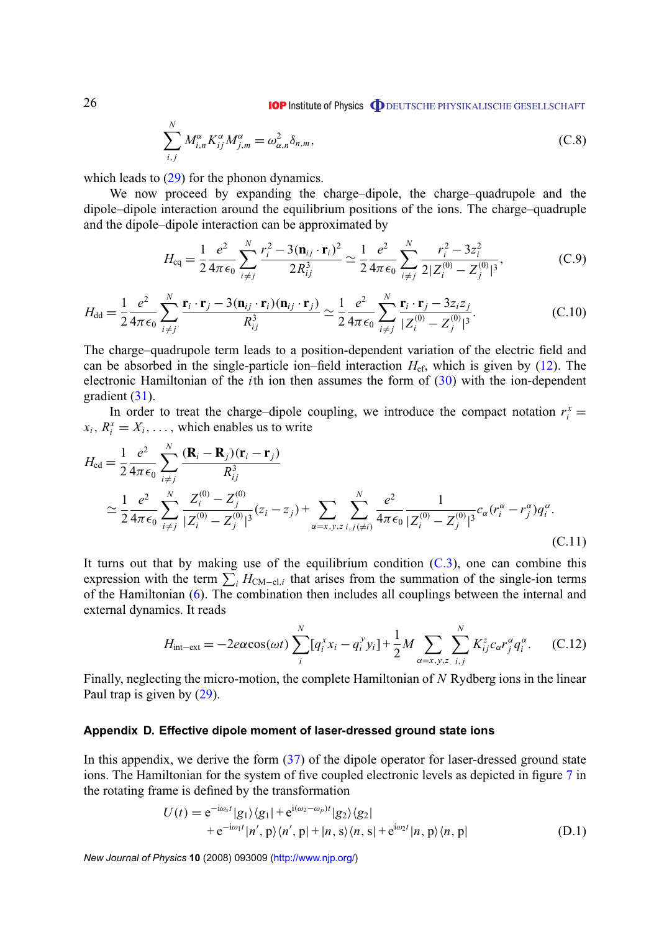$$
\sum_{i,j}^{N} M_{i,n}^{\alpha} K_{ij}^{\alpha} M_{j,m}^{\alpha} = \omega_{\alpha,n}^2 \delta_{n,m},
$$
\n(C.8)

which leads to  $(29)$  for the phonon dynamics.

We now proceed by expanding the charge–dipole, the charge–quadrupole and the dipole–dipole interaction around the equilibrium positions of the ions. The charge–quadruple and the dipole–dipole interaction can be approximated by

$$
H_{\text{eq}} = \frac{1}{2} \frac{e^2}{4\pi\epsilon_0} \sum_{i \neq j}^{N} \frac{r_i^2 - 3(\mathbf{n}_{ij} \cdot \mathbf{r}_i)^2}{2R_{ij}^3} \simeq \frac{1}{2} \frac{e^2}{4\pi\epsilon_0} \sum_{i \neq j}^{N} \frac{r_i^2 - 3z_i^2}{2|Z_i^{(0)} - Z_j^{(0)}|^3},
$$
(C.9)

$$
H_{\rm dd} = \frac{1}{2} \frac{e^2}{4\pi\epsilon_0} \sum_{i \neq j}^{N} \frac{\mathbf{r}_i \cdot \mathbf{r}_j - 3(\mathbf{n}_{ij} \cdot \mathbf{r}_i)(\mathbf{n}_{ij} \cdot \mathbf{r}_j)}{R_{ij}^3} \simeq \frac{1}{2} \frac{e^2}{4\pi\epsilon_0} \sum_{i \neq j}^{N} \frac{\mathbf{r}_i \cdot \mathbf{r}_j - 3z_i z_j}{|Z_i^{(0)} - Z_j^{(0)}|^3}.
$$
 (C.10)

The charge–quadrupole term leads to a position-dependent variation of the electric field and can be absorbed in the single-particle ion–field interaction *H*ef, which is given by [\(12\)](#page-5-0). The electronic Hamiltonian of the *i*th ion then assumes the form of [\(30\)](#page-12-0) with the ion-dependent gradient [\(31\)](#page-12-0).

In order to treat the charge–dipole coupling, we introduce the compact notation  $r_i^x$  =  $x_i$ ,  $R_i^x = X_i$ , ..., which enables us to write

$$
H_{\rm cd} = \frac{1}{2} \frac{e^2}{4\pi\epsilon_0} \sum_{i \neq j}^{N} \frac{(\mathbf{R}_i - \mathbf{R}_j)(\mathbf{r}_i - \mathbf{r}_j)}{R_{ij}^3} \n\approx \frac{1}{2} \frac{e^2}{4\pi\epsilon_0} \sum_{i \neq j}^{N} \frac{Z_i^{(0)} - Z_j^{(0)}}{|Z_i^{(0)} - Z_j^{(0)}|^3} (z_i - z_j) + \sum_{\alpha = x, y, z} \sum_{i, j(\neq i)}^{N} \frac{e^2}{4\pi\epsilon_0} \frac{1}{|Z_i^{(0)} - Z_j^{(0)}|^3} c_{\alpha} (r_i^{\alpha} - r_j^{\alpha}) q_i^{\alpha}.
$$
\n(C.11)

It turns out that by making use of the equilibrium condition  $(C.3)$ , one can combine this expression with the term  $\sum_i H_{\text{CM}-\text{el},i}$  that arises from the summation of the single-ion terms of the Hamiltonian [\(6\)](#page-4-0). The combination then includes all couplings between the internal and external dynamics. It reads

$$
H_{\text{int}-\text{ext}} = -2e\alpha\cos(\omega t)\sum_{i}^{N}[q_i^x x_i - q_i^y y_i] + \frac{1}{2}M\sum_{\alpha=x,y,z}\sum_{i,j}^{N} K_{ij}^{z}c_{\alpha}r_j^{\alpha}q_i^{\alpha}.
$$
 (C.12)

Finally, neglecting the micro-motion, the complete Hamiltonian of *N* Rydberg ions in the linear Paul trap is given by [\(29\)](#page-11-0).

#### **Appendix D. Effective dipole moment of laser-dressed ground state ions**

In this appendix, we derive the form [\(37\)](#page-18-0) of the dipole operator for laser-dressed ground state ions. The Hamiltonian for the system of five coupled electronic levels as depicted in figure [7](#page-18-0) in the rotating frame is defined by the transformation

$$
U(t) = e^{-i\omega_s t} |g_1\rangle\langle g_1| + e^{i(\omega_2 - \omega_p)t} |g_2\rangle\langle g_2|
$$
  
+ 
$$
e^{-i\omega_1 t} |n', p\rangle\langle n', p| + |n, s\rangle\langle n, s| + e^{i\omega_2 t} |n, p\rangle\langle n, p|
$$
 (D.1)

*New Journal of Physics* **10** (2008) 093009 [\(http://www.njp.org/\)](http://www.njp.org/)

<span id="page-25-0"></span>26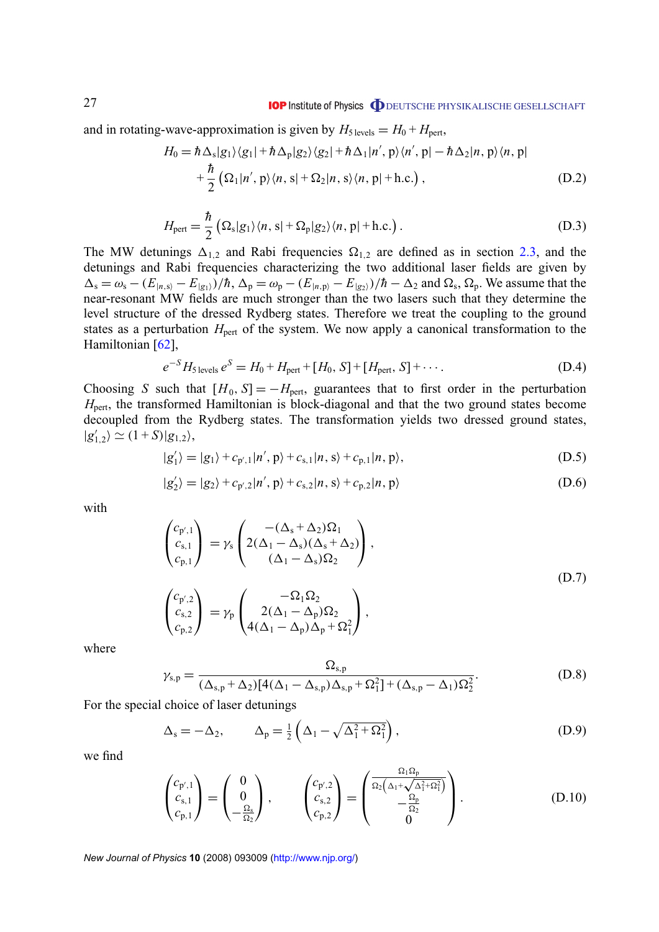<span id="page-26-0"></span>and in rotating-wave-approximation is given by  $H_{5 \text{ levels}} = H_0 + H_{\text{pert}}$ ,

$$
H_0 = \hbar \Delta_s |g_1\rangle\langle g_1| + \hbar \Delta_p |g_2\rangle\langle g_2| + \hbar \Delta_1 |n', p\rangle\langle n', p| - \hbar \Delta_2 |n, p\rangle\langle n, p|
$$
  
+  $\frac{\hbar}{2} (\Omega_1 |n', p\rangle\langle n, s| + \Omega_2 |n, s\rangle\langle n, p| + h.c.)$ , (D.2)

$$
H_{\text{pert}} = \frac{\hbar}{2} \left( \Omega_{\text{s}} |g_1\rangle \langle n, \text{s}| + \Omega_{\text{p}} |g_2\rangle \langle n, \text{p}| + \text{h.c.} \right). \tag{D.3}
$$

The MW detunings  $\Delta_{1,2}$  and Rabi frequencies  $\Omega_{1,2}$  are defined as in section [2.3,](#page-7-0) and the detunings and Rabi frequencies characterizing the two additional laser fields are given by  $\Delta_s = \omega_s - (E_{|n,s\rangle} - E_{|g_1\rangle})/\hbar$ ,  $\Delta_p = \omega_p - (E_{|n,p\rangle} - E_{|g_2\rangle})/\hbar - \Delta_2$  and  $\Omega_s$ ,  $\Omega_p$ . We assume that the near-resonant MW fields are much stronger than the two lasers such that they determine the level structure of the dressed Rydberg states. Therefore we treat the coupling to the ground states as a perturbation  $H_{\text{pert}}$  of the system. We now apply a canonical transformation to the Hamiltonian [\[62\]](#page-28-0),

$$
e^{-S}H_{\text{S levels}}e^{S} = H_0 + H_{\text{pert}} + [H_0, S] + [H_{\text{pert}}, S] + \cdots
$$
 (D.4)

Choosing *S* such that  $[H_0, S] = -H_{\text{pert}}$ , guarantees that to first order in the perturbation *H*<sub>pert</sub>, the transformed Hamiltonian is block-diagonal and that the two ground states become decoupled from the Rydberg states. The transformation yields two dressed ground states,  $|g'_1$  $\sum_{1,2}^{\prime} \rangle \simeq (1+S)|g_{1,2}\rangle,$ 

$$
|g'_{1}\rangle = |g_{1}\rangle + c_{p',1}|n',p\rangle + c_{s,1}|n,s\rangle + c_{p,1}|n,p\rangle,
$$
\n(D.5)

$$
|g_2'\rangle = |g_2\rangle + c_{p',2}|n',p\rangle + c_{s,2}|n,s\rangle + c_{p,2}|n,p\rangle
$$
 (D.6)

with

$$
\begin{pmatrix}\nc_{p',1} \\
c_{s,1} \\
c_{p,1}\n\end{pmatrix} = \gamma_s \begin{pmatrix}\n-(\Delta_s + \Delta_2)\Omega_1 \\
2(\Delta_1 - \Delta_s)(\Delta_s + \Delta_2) \\
(\Delta_1 - \Delta_s)\Omega_2\n\end{pmatrix},
$$
\n
$$
\begin{pmatrix}\nc_{p',2} \\
c_{s,2} \\
c_{p,2}\n\end{pmatrix} = \gamma_p \begin{pmatrix}\n-\Omega_1 \Omega_2 \\
2(\Delta_1 - \Delta_p)\Omega_2 \\
4(\Delta_1 - \Delta_p)\Delta_p + \Omega_1^2\n\end{pmatrix},
$$
\n(D.7)

where

$$
\gamma_{s,p} = \frac{\Omega_{s,p}}{(\Delta_{s,p} + \Delta_2)[4(\Delta_1 - \Delta_{s,p})\Delta_{s,p} + \Omega_1^2] + (\Delta_{s,p} - \Delta_1)\Omega_2^2}.
$$
 (D.8)

For the special choice of laser detunings

$$
\Delta_{\rm s} = -\Delta_2, \qquad \Delta_{\rm p} = \frac{1}{2} \left( \Delta_1 - \sqrt{\Delta_1^2 + \Omega_1^2} \right), \tag{D.9}
$$

we find

$$
\begin{pmatrix} c_{p',1} \\ c_{s,1} \\ c_{p,1} \end{pmatrix} = \begin{pmatrix} 0 \\ 0 \\ -\frac{\Omega_s}{\Omega_2} \end{pmatrix}, \qquad \begin{pmatrix} c_{p',2} \\ c_{s,2} \\ c_{p,2} \end{pmatrix} = \begin{pmatrix} \frac{\Omega_1 \Omega_p}{\Omega_2 (\Delta_1 + \sqrt{\Delta_1^2 + \Omega_1^2})} \\ -\frac{\Omega_p}{\Omega_2} \\ 0 \end{pmatrix}.
$$
 (D.10)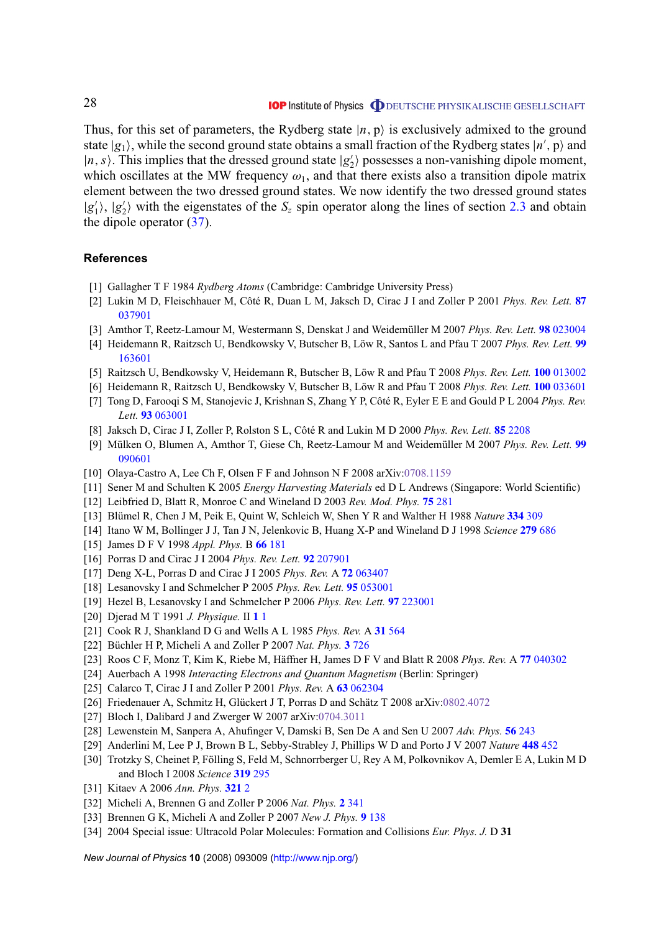<span id="page-27-0"></span>Thus, for this set of parameters, the Rydberg state  $|n, p\rangle$  is exclusively admixed to the ground state  $|g_1\rangle$ , while the second ground state obtains a small fraction of the Rydberg states  $|n\rangle$ , p) and  $|n, s\rangle$ . This implies that the dressed ground state  $|g_2\rangle$  $\langle$ <sub>2</sub>) possesses a non-vanishing dipole moment, which oscillates at the MW frequency  $\omega_1$ , and that there exists also a transition dipole matrix element between the two dressed ground states. We now identify the two dressed ground states  $|g'_1$  $\vert 1\rangle, \vert g'_{2}$  $\mathcal{L}_2$ ) with the eigenstates of the  $S_z$  spin operator along the lines of section [2.3](#page-7-0) and obtain the dipole operator [\(37\)](#page-18-0).

#### **References**

- [1] Gallagher T F 1984 *Rydberg Atoms* (Cambridge: Cambridge University Press)
- [2] Lukin M D, Fleischhauer M, Côté R, Duan L M, Jaksch D, Cirac J I and Zoller P 2001 *Phys. Rev. Lett.* **[87](http://dx.doi.org/10.1103/PhysRevLett.87.037901)** [037901](http://dx.doi.org/10.1103/PhysRevLett.87.037901)
- [3] Amthor T, Reetz-Lamour M, Westermann S, Denskat J and Weidemüller M 2007 *Phys. Rev. Lett.* **98** [023004](http://dx.doi.org/10.1103/PhysRevLett.98.023004)
- [4] Heidemann R, Raitzsch U, Bendkowsky V, Butscher B, Löw R, Santos L and Pfau T 2007 *Phys. Rev. Lett.* **[99](http://dx.doi.org/10.1103/PhysRevLett.99.163601)** [163601](http://dx.doi.org/10.1103/PhysRevLett.99.163601)
- [5] Raitzsch U, Bendkowsky V, Heidemann R, Butscher B, Löw R and Pfau T 2008 *Phys. Rev. Lett.* **100** [013002](http://dx.doi.org/10.1103/PhysRevLett.100.013002)
- [6] Heidemann R, Raitzsch U, Bendkowsky V, Butscher B, Löw R and Pfau T 2008 *Phys. Rev. Lett.* **100** [033601](http://dx.doi.org/10.1103/PhysRevLett.100.033601)
- [7] Tong D, Farooqi S M, Stanojevic J, Krishnan S, Zhang Y P, Côté R, Eyler E E and Gould P L 2004 *Phys. Rev. Lett.* **93** [063001](http://dx.doi.org/10.1103/PhysRevLett.93.063001)
- [8] Jaksch D, Cirac J I, Zoller P, Rolston S L, Côté R and Lukin M D 2000 *Phys. Rev. Lett.* **85** [2208](http://dx.doi.org/10.1103/PhysRevLett.85.2208)
- [9] Mülken O, Blumen A, Amthor T, Giese Ch, Reetz-Lamour M and Weidemüller M 2007 *Phys. Rev. Lett.* **[99](http://dx.doi.org/10.1103/PhysRevLett.99.090601)** [090601](http://dx.doi.org/10.1103/PhysRevLett.99.090601)
- [10] Olaya-Castro A, Lee Ch F, Olsen F F and Johnson N F 2008 arXiv[:0708.1159](http://arxiv.org/abs/0708.1159)
- [11] Sener M and Schulten K 2005 *Energy Harvesting Materials* ed D L Andrews (Singapore: World Scientific)
- [12] Leibfried D, Blatt R, Monroe C and Wineland D 2003 *Rev. Mod. Phys.* **75** [281](http://dx.doi.org/10.1103/RevModPhys.75.281)
- [13] Blümel R, Chen J M, Peik E, Quint W, Schleich W, Shen Y R and Walther H 1988 *Nature* **[334](http://dx.doi.org/10.1038/334309a0)** 309
- [14] Itano W M, Bollinger J J, Tan J N, Jelenkovic B, Huang X-P and Wineland D J 1998 *Science* **279** [686](http://dx.doi.org/10.1126/science.279.5351.686)
- [15] James D F V 1998 *Appl. Phys.* B **66** [181](http://dx.doi.org/10.1007/s003400050373)
- [16] Porras D and Cirac J I 2004 *Phys. Rev. Lett.* **92** [207901](http://dx.doi.org/10.1103/PhysRevLett.92.207901)
- [17] Deng X-L, Porras D and Cirac J I 2005 *Phys. Rev.* A **72** [063407](http://dx.doi.org/10.1103/PhysRevA.72.063407)
- [18] Lesanovsky I and Schmelcher P 2005 *Phys. Rev. Lett.* **95** [053001](http://dx.doi.org/10.1103/PhysRevLett.95.053001)
- [19] Hezel B, Lesanovsky I and Schmelcher P 2006 *Phys. Rev. Lett.* **97** [223001](http://dx.doi.org/10.1103/PhysRevLett.97.223001)
- [20] Djerad M T 1991 *J. Physique.* II **1** [1](http://dx.doi.org/10.1051/jp2:1991135)
- [21] Cook R J, Shankland D G and Wells A L 1985 *Phys. Rev.* A **31** [564](http://dx.doi.org/10.1103/PhysRevA.31.564)
- [22] Büchler H P, Micheli A and Zoller P 2007 *Nat. Phys.* **3** [726](http://dx.doi.org/10.1038/nphys678)
- [23] Roos C F, Monz T, Kim K, Riebe M, Häffner H, James D F V and Blatt R 2008 *Phys. Rev.* A **77** [040302](http://dx.doi.org/10.1103/PhysRevA.77.040302)
- [24] Auerbach A 1998 *Interacting Electrons and Quantum Magnetism* (Berlin: Springer)
- [25] Calarco T, Cirac J I and Zoller P 2001 *Phys. Rev.* A **63** [062304](http://dx.doi.org/10.1103/PhysRevA.63.062304)
- [26] Friedenauer A, Schmitz H, Glückert J T, Porras D and Schätz T 2008 arXiv[:0802.4072](http://arxiv.org/abs/0802.4072)
- [27] Bloch I, Dalibard J and Zwerger W 2007 arXiv[:0704.3011](http://arxiv.org/abs/0704.3011)
- [28] Lewenstein M, Sanpera A, Ahufinger V, Damski B, Sen De A and Sen U 2007 *Adv. Phys.* **56** [243](http://dx.doi.org/10.1080/00018730701223200)
- [29] Anderlini M, Lee P J, Brown B L, Sebby-Strabley J, Phillips W D and Porto J V 2007 *Nature* **[448](http://dx.doi.org/10.1038/nature06011)** 452
- [30] Trotzky S, Cheinet P, Fölling S, Feld M, Schnorrberger U, Rey A M, Polkovnikov A, Demler E A, Lukin M D and Bloch I 2008 *Science* **[319](http://dx.doi.org/10.1126/science.1150841)** 295
- [31] Kitaev A 2006 *Ann. Phys.* **[321](http://dx.doi.org/10.1016/j.aop.2005.10.005)** 2
- [32] Micheli A, Brennen G and Zoller P 2006 *Nat. Phys.* **2** [341](http://dx.doi.org/10.1038/nphys287)
- [33] Brennen G K, Micheli A and Zoller P 2007 *New J. Phys.* **9** [138](http://dx.doi.org/10.1088/1367-2630/9/5/138)
- [34] 2004 Special issue: Ultracold Polar Molecules: Formation and Collisions *Eur. Phys. J.* D **31**